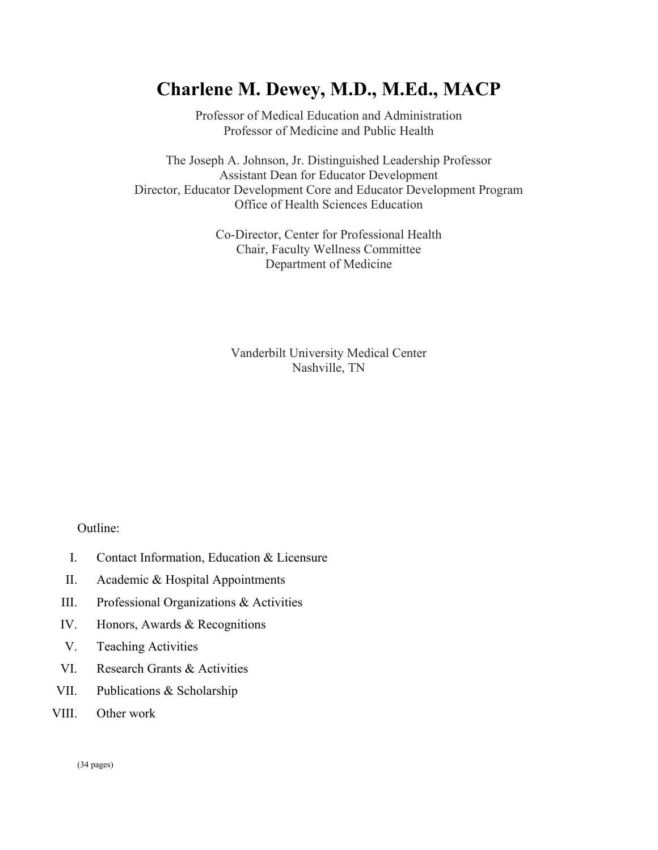# **Charlene M. Dewey, M.D., M.Ed., MACP**

Professor of Medical Education and Administration Professor of Medicine and Public Health

The Joseph A. Johnson, Jr. Distinguished Leadership Professor Assistant Dean for Educator Development Director, Educator Development Core and Educator Development Program Office of Health Sciences Education

> Co-Director, Center for Professional Health Chair, Faculty Wellness Committee Department of Medicine

Vanderbilt University Medical Center Nashville, TN

Outline:

- I. Contact Information, Education & Licensure
- II. Academic & Hospital Appointments
- III. Professional Organizations & Activities
- IV. Honors, Awards & Recognitions
- V. Teaching Activities
- VI. Research Grants & Activities
- VII. Publications & Scholarship
- VIII. Other work

(34 pages)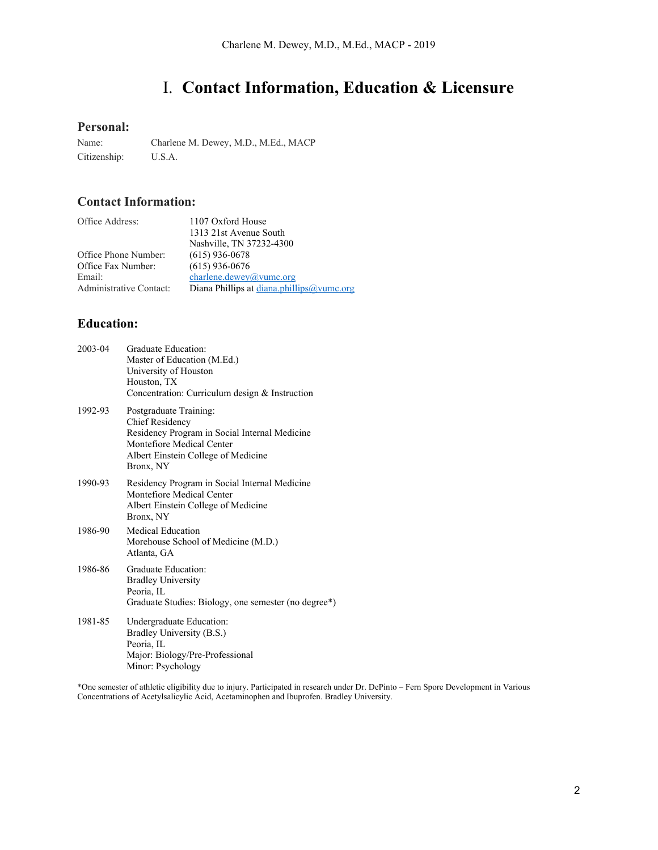# I. **Contact Information, Education & Licensure**

## **Personal:**

Name: Charlene M. Dewey, M.D., M.Ed., MACP Citizenship: U.S.A.

## **Contact Information:**

| Office Address:         | 1107 Oxford House                         |
|-------------------------|-------------------------------------------|
|                         | 1313 21st Avenue South                    |
|                         | Nashville, TN 37232-4300                  |
| Office Phone Number:    | $(615)$ 936-0678                          |
| Office Fax Number:      | $(615)$ 936-0676                          |
| Email:                  | charlene.dewey@vumc.org                   |
| Administrative Contact: | Diana Phillips at diana.phillips@vumc.org |

## **Education:**

| 2003-04 | Graduate Education:<br>Master of Education (M.Ed.)<br>University of Houston<br>Houston, TX<br>Concentration: Curriculum design & Instruction                                       |
|---------|------------------------------------------------------------------------------------------------------------------------------------------------------------------------------------|
| 1992-93 | Postgraduate Training:<br><b>Chief Residency</b><br>Residency Program in Social Internal Medicine<br>Montefiore Medical Center<br>Albert Einstein College of Medicine<br>Bronx, NY |
| 1990-93 | Residency Program in Social Internal Medicine<br>Montefiore Medical Center<br>Albert Einstein College of Medicine<br>Bronx, NY                                                     |
| 1986-90 | Medical Education<br>Morehouse School of Medicine (M.D.)<br>Atlanta, GA                                                                                                            |
| 1986-86 | Graduate Education:<br><b>Bradley University</b><br>Peoria, IL<br>Graduate Studies: Biology, one semester (no degree*)                                                             |
| 1981-85 | Undergraduate Education:<br>Bradley University (B.S.)<br>Peoria, IL<br>Major: Biology/Pre-Professional<br>Minor: Psychology                                                        |

\*One semester of athletic eligibility due to injury. Participated in research under Dr. DePinto – Fern Spore Development in Various Concentrations of Acetylsalicylic Acid, Acetaminophen and Ibuprofen. Bradley University.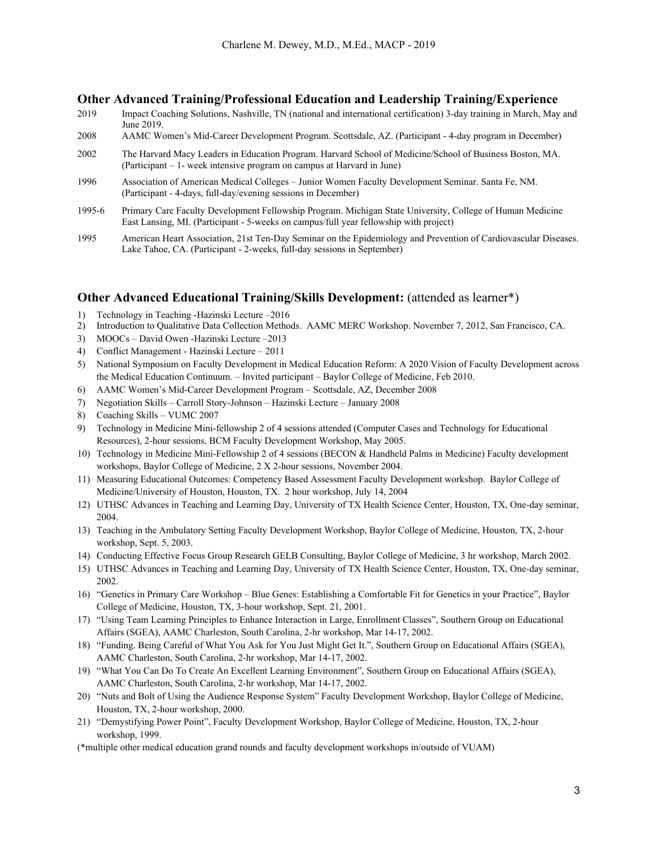### **Other Advanced Training/Professional Education and Leadership Training/Experience**

- 2019 Impact Coaching Solutions, Nashville, TN (national and international certification) 3-day training in March, May and June 2019.
- 2008 AAMC Women's Mid-Career Development Program. Scottsdale, AZ. (Participant 4-day program in December)
- 2002 The Harvard Macy Leaders in Education Program. Harvard School of Medicine/School of Business Boston, MA. (Participant – 1- week intensive program on campus at Harvard in June)
- 1996 Association of American Medical Colleges Junior Women Faculty Development Seminar. Santa Fe, NM. (Participant - 4-days, full-day/evening sessions in December)
- 1995-6 Primary Care Faculty Development Fellowship Program. Michigan State University, College of Human Medicine East Lansing, MI. (Participant - 5-weeks on campus/full year fellowship with project)
- 1995 American Heart Association, 21st Ten-Day Seminar on the Epidemiology and Prevention of Cardiovascular Diseases. Lake Tahoe, CA. (Participant - 2-weeks, full-day sessions in September)

## **Other Advanced Educational Training/Skills Development:** (attended as learner\*)

- 1) Technology in Teaching -Hazinski Lecture –2016
- 2) Introduction to Qualitative Data Collection Methods. AAMC MERC Workshop. November 7, 2012, San Francisco, CA.
- 3) MOOCs David Owen -Hazinski Lecture –2013
- 4) Conflict Management Hazinski Lecture 2011
- 5) National Symposium on Faculty Development in Medical Education Reform: A 2020 Vision of Faculty Development across the Medical Education Continuum. – Invited participant – Baylor College of Medicine, Feb 2010.
- 6) AAMC Women's Mid-Career Development Program Scottsdale, AZ, December 2008
- 7) Negotiation Skills Carroll Story-Johnson Hazinski Lecture January 2008
- 8) Coaching Skills VUMC 2007
- 9) Technology in Medicine Mini-fellowship 2 of 4 sessions attended (Computer Cases and Technology for Educational Resources), 2-hour sessions, BCM Faculty Development Workshop, May 2005.
- 10) Technology in Medicine Mini-Fellowship 2 of 4 sessions (BECON & Handheld Palms in Medicine) Faculty development workshops, Baylor College of Medicine, 2 X 2-hour sessions, November 2004.
- 11) Measuring Educational Outcomes: Competency Based Assessment Faculty Development workshop. Baylor College of Medicine/University of Houston, Houston, TX. 2 hour workshop, July 14, 2004
- 12) UTHSC Advances in Teaching and Learning Day, University of TX Health Science Center, Houston, TX, One-day seminar, 2004.
- 13) Teaching in the Ambulatory Setting Faculty Development Workshop, Baylor College of Medicine, Houston, TX, 2-hour workshop, Sept. 5, 2003.
- 14) Conducting Effective Focus Group Research GELB Consulting, Baylor College of Medicine, 3 hr workshop, March 2002.
- 15) UTHSC Advances in Teaching and Learning Day, University of TX Health Science Center, Houston, TX, One-day seminar, 2002.
- 16) "Genetics in Primary Care Workshop Blue Genes: Establishing a Comfortable Fit for Genetics in your Practice", Baylor College of Medicine, Houston, TX, 3-hour workshop, Sept. 21, 2001.
- 17) "Using Team Learning Principles to Enhance Interaction in Large, Enrollment Classes", Southern Group on Educational Affairs (SGEA), AAMC Charleston, South Carolina, 2-hr workshop, Mar 14-17, 2002.
- 18) "Funding. Being Careful of What You Ask for You Just Might Get It.", Southern Group on Educational Affairs (SGEA), AAMC Charleston, South Carolina, 2-hr workshop, Mar 14-17, 2002.
- 19) "What You Can Do To Create An Excellent Learning Environment", Southern Group on Educational Affairs (SGEA), AAMC Charleston, South Carolina, 2-hr workshop, Mar 14-17, 2002.
- 20) "Nuts and Bolt of Using the Audience Response System" Faculty Development Workshop, Baylor College of Medicine, Houston, TX, 2-hour workshop, 2000.
- 21) "Demystifying Power Point", Faculty Development Workshop, Baylor College of Medicine, Houston, TX, 2-hour workshop, 1999.

(\*multiple other medical education grand rounds and faculty development workshops in/outside of VUAM)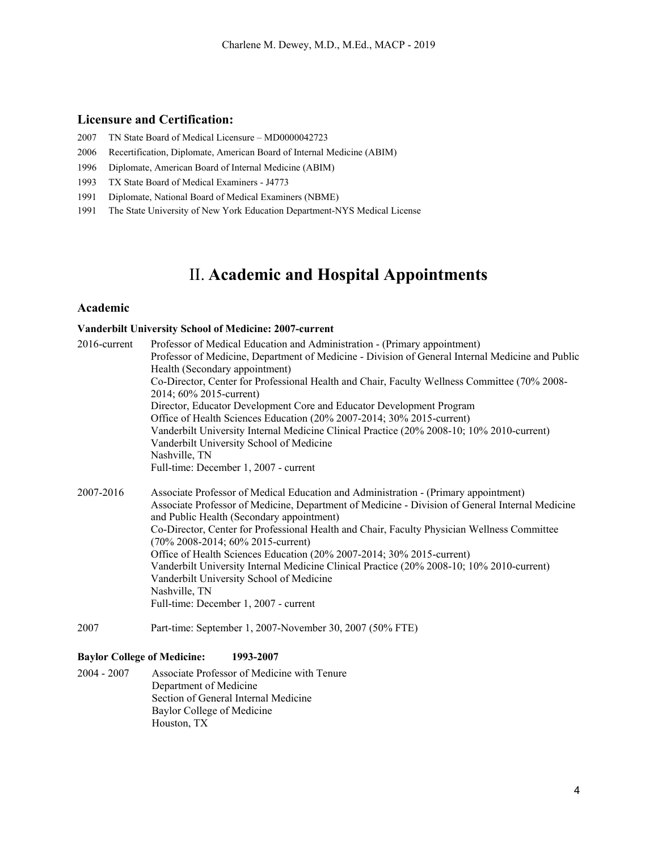## **Licensure and Certification:**

- 2007 TN State Board of Medical Licensure MD0000042723
- 2006 Recertification, Diplomate, American Board of Internal Medicine (ABIM)
- 1996 Diplomate, American Board of Internal Medicine (ABIM)
- 1993 TX State Board of Medical Examiners J4773
- 1991 Diplomate, National Board of Medical Examiners (NBME)
- 1991 The State University of New York Education Department-NYS Medical License

## II. **Academic and Hospital Appointments**

## **Academic**

#### **Vanderbilt University School of Medicine: 2007-current**

| $2016$ -current | Professor of Medical Education and Administration - (Primary appointment)                        |
|-----------------|--------------------------------------------------------------------------------------------------|
|                 | Professor of Medicine, Department of Medicine - Division of General Internal Medicine and Public |
|                 | Health (Secondary appointment)                                                                   |
|                 | Co-Director, Center for Professional Health and Chair, Faculty Wellness Committee (70% 2008-     |
|                 | 2014; 60% 2015-current)                                                                          |
|                 | Director, Educator Development Core and Educator Development Program                             |
|                 | Office of Health Sciences Education (20% 2007-2014; 30% 2015-current)                            |
|                 | Vanderbilt University Internal Medicine Clinical Practice (20% 2008-10; 10% 2010-current)        |
|                 | Vanderbilt University School of Medicine                                                         |
|                 | Nashville, TN                                                                                    |
|                 | Full-time: December 1, 2007 - current                                                            |
| 2007-2016       | Associate Professor of Medical Education and Administration - (Primary appointment)              |
|                 | Associate Professor of Medicine, Department of Medicine - Division of General Internal Medicine  |
|                 | and Public Health (Secondary appointment)                                                        |
|                 | Co-Director, Center for Professional Health and Chair, Faculty Physician Wellness Committee      |
|                 | (70% 2008-2014; 60% 2015-current)                                                                |
|                 | Office of Health Sciences Education (20% 2007-2014; 30% 2015-current)                            |
|                 | Vanderbilt University Internal Medicine Clinical Practice (20% 2008-10; 10% 2010-current)        |
|                 | Vanderbilt University School of Medicine                                                         |
|                 | Nashville, TN                                                                                    |
|                 | Full-time: December 1, 2007 - current                                                            |
|                 |                                                                                                  |

2007 Part-time: September 1, 2007-November 30, 2007 (50% FTE)

#### **Baylor College of Medicine: 1993-2007**

2004 - 2007 Associate Professor of Medicine with Tenure Department of Medicine Section of General Internal Medicine Baylor College of Medicine Houston, TX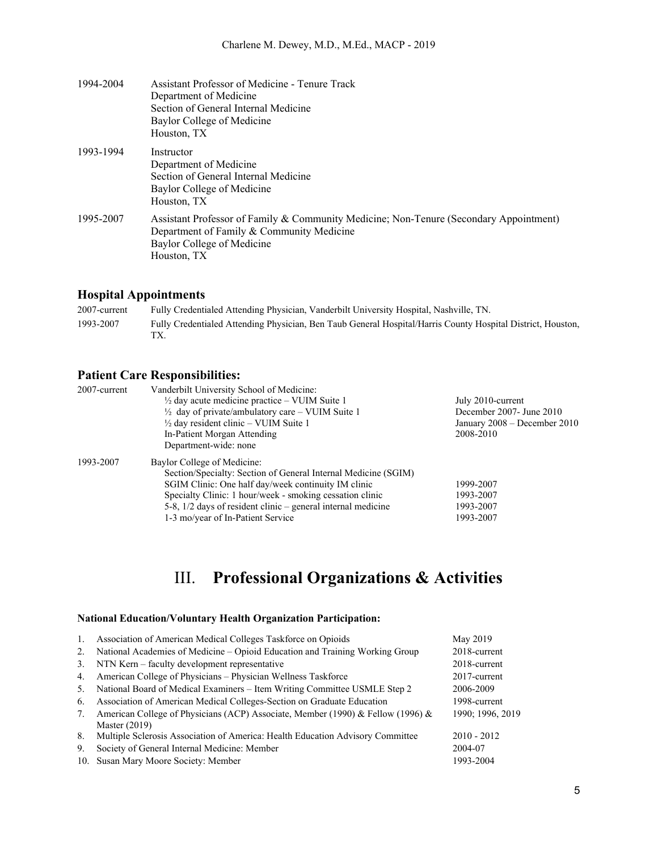| 1994-2004 | Assistant Professor of Medicine - Tenure Track                                                                                      |
|-----------|-------------------------------------------------------------------------------------------------------------------------------------|
|           | Department of Medicine                                                                                                              |
|           | Section of General Internal Medicine                                                                                                |
|           | Baylor College of Medicine                                                                                                          |
|           | Houston, TX                                                                                                                         |
| 1993-1994 | Instructor                                                                                                                          |
|           | Department of Medicine                                                                                                              |
|           | Section of General Internal Medicine                                                                                                |
|           | Baylor College of Medicine                                                                                                          |
|           | Houston, TX                                                                                                                         |
| 1995-2007 | Assistant Professor of Family & Community Medicine; Non-Tenure (Secondary Appointment)<br>Department of Family & Community Medicine |
|           | Baylor College of Medicine                                                                                                          |
|           | Houston, TX                                                                                                                         |

## **Hospital Appointments**

2007-current Fully Credentialed Attending Physician, Vanderbilt University Hospital, Nashville, TN. 1993-2007 Fully Credentialed Attending Physician, Ben Taub General Hospital/Harris County Hospital District, Houston, TX.

## **Patient Care Responsibilities:**

| 2007-current | Vanderbilt University School of Medicine:                      |                                  |
|--------------|----------------------------------------------------------------|----------------------------------|
|              | $\frac{1}{2}$ day acute medicine practice – VUIM Suite 1       | July 2010-current                |
|              | $\frac{1}{2}$ day of private/ambulatory care – VUIM Suite 1    | December 2007- June 2010         |
|              | $\frac{1}{2}$ day resident clinic – VUIM Suite 1               | January $2008 -$ December $2010$ |
|              | In-Patient Morgan Attending                                    | 2008-2010                        |
|              | Department-wide: none                                          |                                  |
| 1993-2007    | Baylor College of Medicine:                                    |                                  |
|              | Section/Specialty: Section of General Internal Medicine (SGIM) |                                  |
|              | SGIM Clinic: One half day/week continuity IM clinic            | 1999-2007                        |
|              | Specialty Clinic: 1 hour/week - smoking cessation clinic       | 1993-2007                        |
|              | 5-8, $1/2$ days of resident clinic – general internal medicine | 1993-2007                        |
|              | 1-3 mo/year of In-Patient Service                              | 1993-2007                        |

## III. **Professional Organizations & Activities**

### **National Education/Voluntary Health Organization Participation:**

| $\mathbf{1}$ . | Association of American Medical Colleges Taskforce on Opioids                   | May 2019         |
|----------------|---------------------------------------------------------------------------------|------------------|
| 2.             | National Academies of Medicine – Opioid Education and Training Working Group    | 2018-current     |
| 3.             | NTN Kern – faculty development representative                                   | 2018-current     |
| 4.             | American College of Physicians – Physician Wellness Taskforce                   | 2017-current     |
| 5.             | National Board of Medical Examiners - Item Writing Committee USMLE Step 2       | 2006-2009        |
| 6.             | Association of American Medical Colleges-Section on Graduate Education          | 1998-current     |
| 7.             | American College of Physicians (ACP) Associate, Member (1990) & Fellow (1996) & | 1990; 1996, 2019 |
|                | Master $(2019)$                                                                 |                  |
| 8.             | Multiple Sclerosis Association of America: Health Education Advisory Committee  | $2010 - 2012$    |
| 9.             | Society of General Internal Medicine: Member                                    | 2004-07          |
|                | 10. Susan Mary Moore Society: Member                                            | 1993-2004        |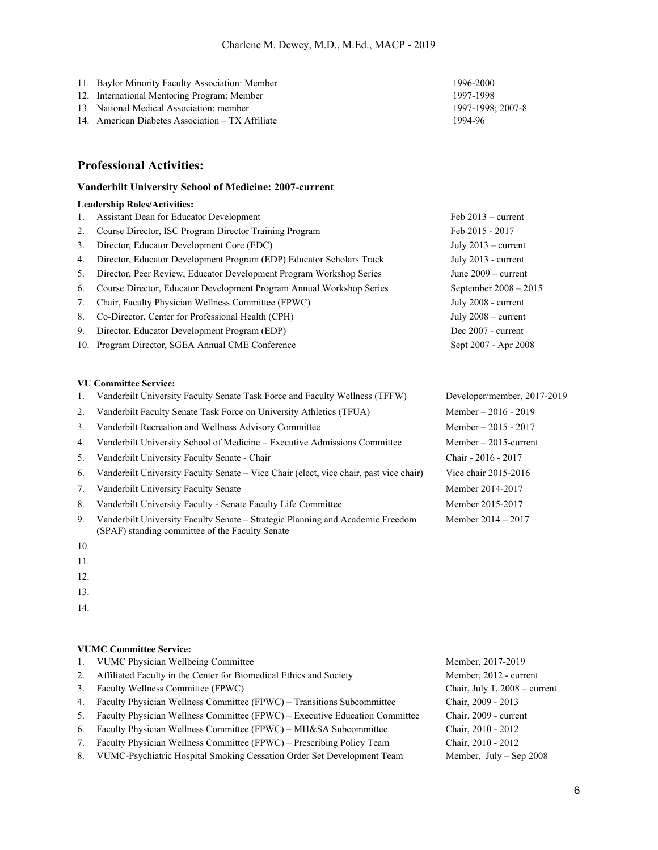- 11. Baylor Minority Faculty Association: Member 1996-2000
- 12. International Mentoring Program: Member 1997-1998
- 13. National Medical Association: member 1997-1998; 2007-8
- 14. American Diabetes Association TX Affiliate 1994-96

## **Professional Activities:**

#### **Vanderbilt University School of Medicine: 2007-current**

#### **Leadership Roles/Activities:**

1. Assistant Dean for Educator Development Feb 2013 – current 2. Course Director, ISC Program Director Training Program Feb 2015 - 2017 3. Director, Educator Development Core (EDC) July 2013 – current 4. Director, Educator Development Program (EDP) Educator Scholars Track July 2013 - current 5. Director, Peer Review, Educator Development Program Workshop Series June 2009 – current 6. Course Director, Educator Development Program Annual Workshop Series September 2008 – 2015 7. Chair, Faculty Physician Wellness Committee (FPWC) July 2008 - current 8. Co-Director, Center for Professional Health (CPH) July 2008 – current 9. Director, Educator Development Program (EDP) Dec 2007 - current 10. Program Director, SGEA Annual CME Conference Sept 2007 - Apr 2008

#### **VU Committee Service:**

- 1. Vanderbilt University Faculty Senate Task Force and Faculty Wellness (TFFW) Developer/member, 2017-2019
- 2. Vanderbilt Faculty Senate Task Force on University Athletics (TFUA) Member 2016 2019
- 3. Vanderbilt Recreation and Wellness Advisory Committee Member 2015 2017
- 4. Vanderbilt University School of Medicine Executive Admissions Committee Member 2015-current
- 5. Vanderbilt University Faculty Senate Chair Chair 2016 2017
- 6. Vanderbilt University Faculty Senate Vice Chair (elect, vice chair, past vice chair) Vice chair 2015-2016
- 7. Vanderbilt University Faculty Senate Member 2014-2017
- 8. Vanderbilt University Faculty Senate Faculty Life Committee Member 2015-2017
- 9. Vanderbilt University Faculty Senate Strategic Planning and Academic Freedom (SPAF) standing committee of the Faculty Senate
- 10.
- 11.
- 12.

13.

14.

#### **VUMC Committee Service:**

- 1. VUMC Physician Wellbeing Committee Member, 2017-2019 2. Affiliated Faculty in the Center for Biomedical Ethics and Society Member, 2012 - current 3. Faculty Wellness Committee (FPWC) Chair, July 1, 2008 – current 4. Faculty Physician Wellness Committee (FPWC) – Transitions Subcommittee Chair, 2009 - 2013 5. Faculty Physician Wellness Committee (FPWC) – Executive Education Committee Chair, 2009 - current 6. Faculty Physician Wellness Committee (FPWC) – MH&SA Subcommittee Chair, 2010 - 2012 7. Faculty Physician Wellness Committee (FPWC) – Prescribing Policy Team Chair, 2010 - 2012
- 8. VUMC-Psychiatric Hospital Smoking Cessation Order Set Development Team Member, July Sep 2008

Member 2014 – 2017

6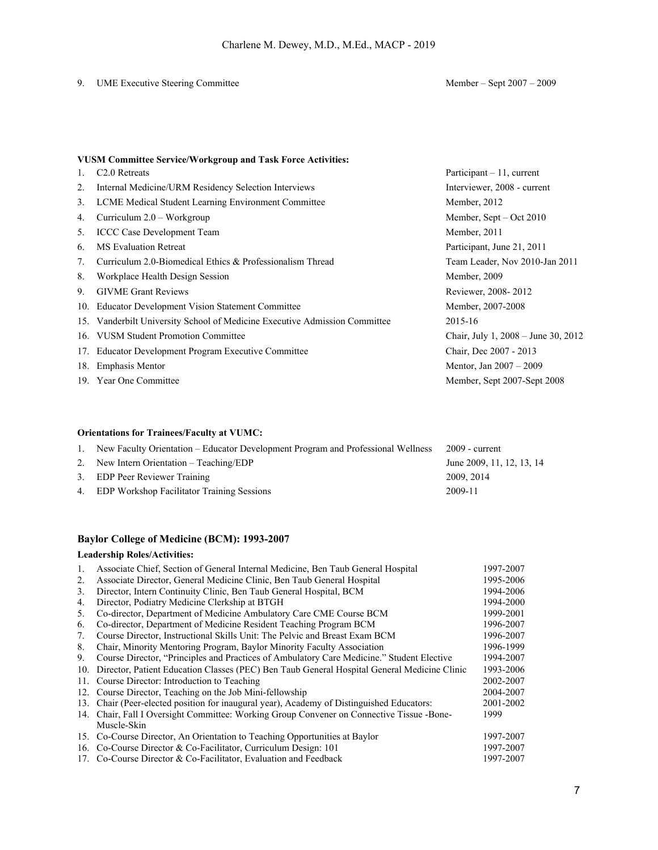## 9. UME Executive Steering Committee Member – Sept 2007 – 2009

## **VUSM Committee Service/Workgroup and Task Force Activities:**

| 1. | C <sub>2.0</sub> Retreats                                                  | Participant $-11$ , current             |
|----|----------------------------------------------------------------------------|-----------------------------------------|
| 2. | Internal Medicine/URM Residency Selection Interviews                       | Interviewer, 2008 - current             |
| 3. | LCME Medical Student Learning Environment Committee                        | Member, 2012                            |
| 4. | Curriculum $2.0$ – Workgroup                                               | Member, Sept $-$ Oct 2010               |
| 5. | <b>ICCC Case Development Team</b>                                          | Member, 2011                            |
| 6. | <b>MS</b> Evaluation Retreat                                               | Participant, June 21, 2011              |
| 7. | Curriculum 2.0-Biomedical Ethics & Professionalism Thread                  | Team Leader, Nov 2010-Jan 2011          |
| 8. | Workplace Health Design Session                                            | Member, 2009                            |
| 9. | <b>GIVME Grant Reviews</b>                                                 | Reviewer, 2008-2012                     |
|    | 10. Educator Development Vision Statement Committee                        | Member, 2007-2008                       |
|    | 15. Vanderbilt University School of Medicine Executive Admission Committee | 2015-16                                 |
|    | 16. VUSM Student Promotion Committee                                       | Chair, July 1, $2008 -$ June 30, $2012$ |
|    | 17. Educator Development Program Executive Committee                       | Chair, Dec 2007 - 2013                  |
|    | 18. Emphasis Mentor                                                        | Mentor, Jan 2007 - 2009                 |
|    | 19. Year One Committee                                                     | Member, Sept 2007-Sept 2008             |

### **Orientations for Trainees/Faculty at VUMC:**

| 1. New Faculty Orientation – Educator Development Program and Professional Wellness | $2009$ - current          |
|-------------------------------------------------------------------------------------|---------------------------|
| 2. New Intern Orientation – Teaching/EDP                                            | June 2009, 11, 12, 13, 14 |
| 3. EDP Peer Reviewer Training                                                       | 2009, 2014                |
| 4. EDP Workshop Facilitator Training Sessions                                       | 2009-11                   |

## **Baylor College of Medicine (BCM): 1993-2007**

### **Leadership Roles/Activities:**

| 1.  | Associate Chief, Section of General Internal Medicine, Ben Taub General Hospital            | 1997-2007 |
|-----|---------------------------------------------------------------------------------------------|-----------|
| 2.  | Associate Director, General Medicine Clinic, Ben Taub General Hospital                      | 1995-2006 |
| 3.  | Director, Intern Continuity Clinic, Ben Taub General Hospital, BCM                          | 1994-2006 |
| 4.  | Director, Podiatry Medicine Clerkship at BTGH                                               | 1994-2000 |
| 5.  | Co-director, Department of Medicine Ambulatory Care CME Course BCM                          | 1999-2001 |
| 6.  | Co-director, Department of Medicine Resident Teaching Program BCM                           | 1996-2007 |
| 7.  | Course Director, Instructional Skills Unit: The Pelvic and Breast Exam BCM                  | 1996-2007 |
| 8.  | Chair, Minority Mentoring Program, Baylor Minority Faculty Association                      | 1996-1999 |
| 9.  | Course Director, "Principles and Practices of Ambulatory Care Medicine." Student Elective   | 1994-2007 |
| 10. | Director, Patient Education Classes (PEC) Ben Taub General Hospital General Medicine Clinic | 1993-2006 |
|     | 11. Course Director: Introduction to Teaching                                               | 2002-2007 |
|     | 12. Course Director, Teaching on the Job Mini-fellowship                                    | 2004-2007 |
|     | 13. Chair (Peer-elected position for inaugural year), Academy of Distinguished Educators:   | 2001-2002 |
|     | 14. Chair, Fall I Oversight Committee: Working Group Convener on Connective Tissue -Bone-   | 1999      |
|     | Muscle-Skin                                                                                 |           |
|     | 15. Co-Course Director, An Orientation to Teaching Opportunities at Baylor                  | 1997-2007 |
|     | 16. Co-Course Director & Co-Facilitator, Curriculum Design: 101                             | 1997-2007 |
|     | 17. Co-Course Director & Co-Facilitator, Evaluation and Feedback                            | 1997-2007 |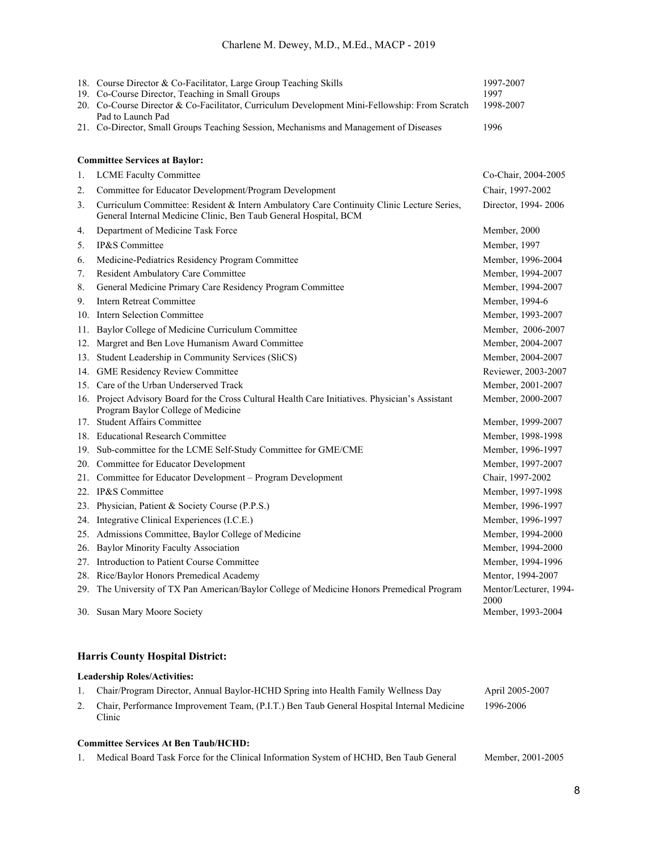## Charlene M. Dewey, M.D., M.Ed., MACP - 2019

|    | 18. Course Director & Co-Facilitator, Large Group Teaching Skills                                                                                             | 1997-2007                      |
|----|---------------------------------------------------------------------------------------------------------------------------------------------------------------|--------------------------------|
|    | 19. Co-Course Director, Teaching in Small Groups                                                                                                              | 1997                           |
|    | 20. Co-Course Director & Co-Facilitator, Curriculum Development Mini-Fellowship: From Scratch<br>Pad to Launch Pad                                            | 1998-2007                      |
|    | 21. Co-Director, Small Groups Teaching Session, Mechanisms and Management of Diseases                                                                         | 1996                           |
|    |                                                                                                                                                               |                                |
|    | <b>Committee Services at Baylor:</b>                                                                                                                          |                                |
| 1. | <b>LCME Faculty Committee</b>                                                                                                                                 | Co-Chair, 2004-2005            |
| 2. | Committee for Educator Development/Program Development                                                                                                        | Chair, 1997-2002               |
| 3. | Curriculum Committee: Resident & Intern Ambulatory Care Continuity Clinic Lecture Series,<br>General Internal Medicine Clinic, Ben Taub General Hospital, BCM | Director, 1994-2006            |
| 4. | Department of Medicine Task Force                                                                                                                             | Member, 2000                   |
| 5. | IP&S Committee                                                                                                                                                | Member, 1997                   |
| 6. | Medicine-Pediatrics Residency Program Committee                                                                                                               | Member, 1996-2004              |
| 7. | Resident Ambulatory Care Committee                                                                                                                            | Member, 1994-2007              |
| 8. | General Medicine Primary Care Residency Program Committee                                                                                                     | Member, 1994-2007              |
| 9. | <b>Intern Retreat Committee</b>                                                                                                                               | Member, 1994-6                 |
|    | 10. Intern Selection Committee                                                                                                                                | Member, 1993-2007              |
|    | 11. Baylor College of Medicine Curriculum Committee                                                                                                           | Member, 2006-2007              |
|    | 12. Margret and Ben Love Humanism Award Committee                                                                                                             | Member, 2004-2007              |
|    | 13. Student Leadership in Community Services (SliCS)                                                                                                          | Member, 2004-2007              |
|    | 14. GME Residency Review Committee                                                                                                                            | Reviewer, 2003-2007            |
|    | 15. Care of the Urban Underserved Track                                                                                                                       | Member, 2001-2007              |
|    | 16. Project Advisory Board for the Cross Cultural Health Care Initiatives. Physician's Assistant<br>Program Baylor College of Medicine                        | Member, 2000-2007              |
|    | 17. Student Affairs Committee                                                                                                                                 | Member, 1999-2007              |
|    | 18. Educational Research Committee                                                                                                                            | Member, 1998-1998              |
|    | 19. Sub-committee for the LCME Self-Study Committee for GME/CME                                                                                               | Member, 1996-1997              |
|    | 20. Committee for Educator Development                                                                                                                        | Member, 1997-2007              |
|    | 21. Committee for Educator Development - Program Development                                                                                                  | Chair, 1997-2002               |
|    | 22. IP&S Committee                                                                                                                                            | Member, 1997-1998              |
|    | 23. Physician, Patient & Society Course (P.P.S.)                                                                                                              | Member, 1996-1997              |
|    | 24. Integrative Clinical Experiences (I.C.E.)                                                                                                                 | Member, 1996-1997              |
|    | 25. Admissions Committee, Baylor College of Medicine                                                                                                          | Member, 1994-2000              |
|    | 26. Baylor Minority Faculty Association                                                                                                                       | Member, 1994-2000              |
|    | 27. Introduction to Patient Course Committee                                                                                                                  | Member, 1994-1996              |
|    | 28. Rice/Baylor Honors Premedical Academy                                                                                                                     | Mentor, 1994-2007              |
|    | 29. The University of TX Pan American/Baylor College of Medicine Honors Premedical Program                                                                    | Mentor/Lecturer, 1994-<br>2000 |
|    | 30. Susan Mary Moore Society                                                                                                                                  | Member, 1993-2004              |

## **Harris County Hospital District:**

## **Leadership Roles/Activities:**

| 1. Chair/Program Director, Annual Baylor-HCHD Spring into Health Family Wellness Day                | April 2005-2007 |  |  |
|-----------------------------------------------------------------------------------------------------|-----------------|--|--|
| Chair, Performance Improvement Team, (P.I.T.) Ben Taub General Hospital Internal Medicine<br>Clinic | 1996-2006       |  |  |
|                                                                                                     |                 |  |  |

## **Committee Services At Ben Taub/HCHD:**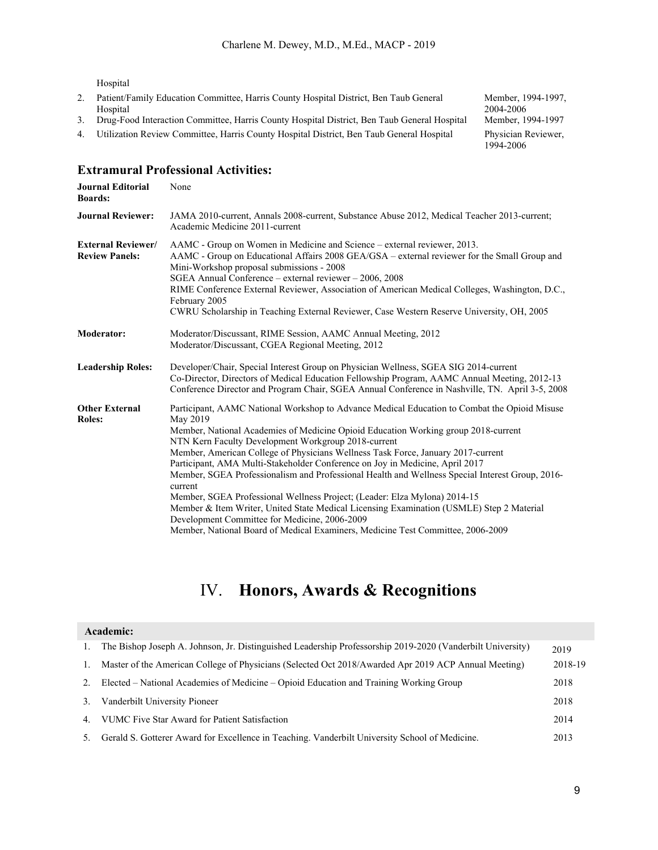Hospital

- 2. Patient/Family Education Committee, Harris County Hospital District, Ben Taub General Hospital
- 3. Drug-Food Interaction Committee, Harris County Hospital District, Ben Taub General Hospital
- 4. Utilization Review Committee, Harris County Hospital District, Ben Taub General Hospital Physician Reviewer,

Member, 1994-1997, 2004-2006<br>Member, 1994-1997 1994-2006

## **Extramural Professional Activities:**

| <b>Journal Editorial</b><br><b>Boards:</b>         | None                                                                                                                                                                                                                                                                                                                                                                                                                                                                                                                                                                                                                                                                                                                                                                                                                                                 |
|----------------------------------------------------|------------------------------------------------------------------------------------------------------------------------------------------------------------------------------------------------------------------------------------------------------------------------------------------------------------------------------------------------------------------------------------------------------------------------------------------------------------------------------------------------------------------------------------------------------------------------------------------------------------------------------------------------------------------------------------------------------------------------------------------------------------------------------------------------------------------------------------------------------|
| <b>Journal Reviewer:</b>                           | JAMA 2010-current, Annals 2008-current, Substance Abuse 2012, Medical Teacher 2013-current;<br>Academic Medicine 2011-current                                                                                                                                                                                                                                                                                                                                                                                                                                                                                                                                                                                                                                                                                                                        |
| <b>External Reviewer/</b><br><b>Review Panels:</b> | AAMC - Group on Women in Medicine and Science – external reviewer, 2013.<br>AAMC - Group on Educational Affairs 2008 GEA/GSA – external reviewer for the Small Group and<br>Mini-Workshop proposal submissions - 2008<br>SGEA Annual Conference – external reviewer – 2006, 2008<br>RIME Conference External Reviewer, Association of American Medical Colleges, Washington, D.C.,<br>February 2005<br>CWRU Scholarship in Teaching External Reviewer, Case Western Reserve University, OH, 2005                                                                                                                                                                                                                                                                                                                                                     |
| <b>Moderator:</b>                                  | Moderator/Discussant, RIME Session, AAMC Annual Meeting, 2012<br>Moderator/Discussant, CGEA Regional Meeting, 2012                                                                                                                                                                                                                                                                                                                                                                                                                                                                                                                                                                                                                                                                                                                                   |
| <b>Leadership Roles:</b>                           | Developer/Chair, Special Interest Group on Physician Wellness, SGEA SIG 2014-current<br>Co-Director, Directors of Medical Education Fellowship Program, AAMC Annual Meeting, 2012-13<br>Conference Director and Program Chair, SGEA Annual Conference in Nashville, TN. April 3-5, 2008                                                                                                                                                                                                                                                                                                                                                                                                                                                                                                                                                              |
| <b>Other External</b><br><b>Roles:</b>             | Participant, AAMC National Workshop to Advance Medical Education to Combat the Opioid Misuse<br>May 2019<br>Member, National Academies of Medicine Opioid Education Working group 2018-current<br>NTN Kern Faculty Development Workgroup 2018-current<br>Member, American College of Physicians Wellness Task Force, January 2017-current<br>Participant, AMA Multi-Stakeholder Conference on Joy in Medicine, April 2017<br>Member, SGEA Professionalism and Professional Health and Wellness Special Interest Group, 2016-<br>current<br>Member, SGEA Professional Wellness Project; (Leader: Elza Mylona) 2014-15<br>Member & Item Writer, United State Medical Licensing Examination (USMLE) Step 2 Material<br>Development Committee for Medicine, 2006-2009<br>Member, National Board of Medical Examiners, Medicine Test Committee, 2006-2009 |

## IV. **Honors, Awards & Recognitions**

|    | Academic:                                                                                                  |         |
|----|------------------------------------------------------------------------------------------------------------|---------|
| 1. | The Bishop Joseph A. Johnson, Jr. Distinguished Leadership Professorship 2019-2020 (Vanderbilt University) | 2019    |
| 1. | Master of the American College of Physicians (Selected Oct 2018/Awarded Apr 2019 ACP Annual Meeting)       | 2018-19 |
| 2. | Elected – National Academies of Medicine – Opioid Education and Training Working Group                     | 2018    |
| 3. | Vanderbilt University Pioneer                                                                              | 2018    |
| 4. | VUMC Five Star Award for Patient Satisfaction                                                              | 2014    |
| 5. | Gerald S. Gotterer Award for Excellence in Teaching. Vanderbilt University School of Medicine.             | 2013    |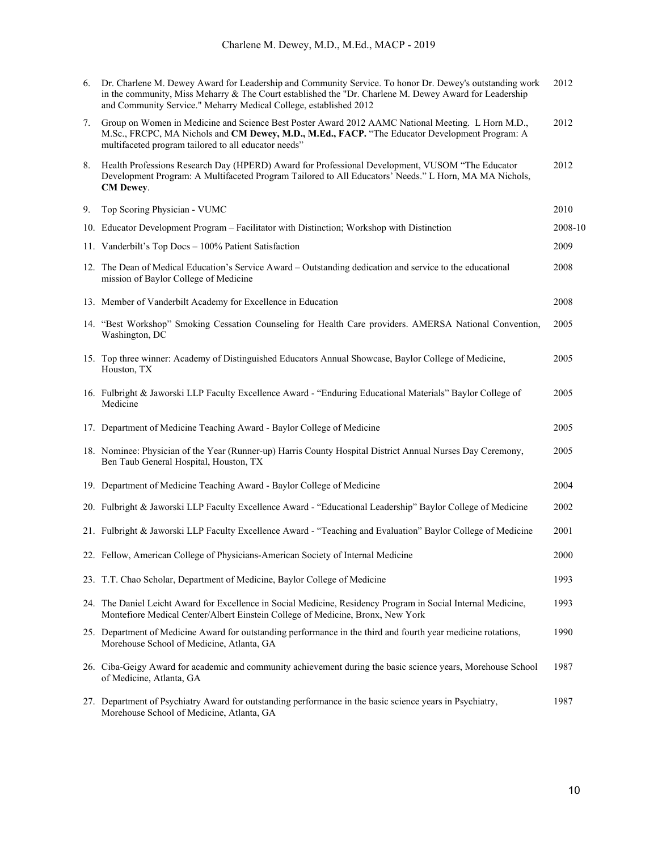| 6. | Dr. Charlene M. Dewey Award for Leadership and Community Service. To honor Dr. Dewey's outstanding work<br>in the community, Miss Meharry & The Court established the "Dr. Charlene M. Dewey Award for Leadership<br>and Community Service." Meharry Medical College, established 2012 | 2012    |
|----|----------------------------------------------------------------------------------------------------------------------------------------------------------------------------------------------------------------------------------------------------------------------------------------|---------|
| 7. | Group on Women in Medicine and Science Best Poster Award 2012 AAMC National Meeting. L Horn M.D.,<br>M.Sc., FRCPC, MA Nichols and CM Dewey, M.D., M.Ed., FACP. "The Educator Development Program: A<br>multifaceted program tailored to all educator needs"                            | 2012    |
| 8. | Health Professions Research Day (HPERD) Award for Professional Development, VUSOM "The Educator<br>Development Program: A Multifaceted Program Tailored to All Educators' Needs." L Horn, MA MA Nichols,<br>CM Dewey.                                                                  | 2012    |
| 9. | Top Scoring Physician - VUMC                                                                                                                                                                                                                                                           | 2010    |
|    | 10. Educator Development Program - Facilitator with Distinction; Workshop with Distinction                                                                                                                                                                                             | 2008-10 |
|    | 11. Vanderbilt's Top Docs - 100% Patient Satisfaction                                                                                                                                                                                                                                  | 2009    |
|    | 12. The Dean of Medical Education's Service Award – Outstanding dedication and service to the educational<br>mission of Baylor College of Medicine                                                                                                                                     | 2008    |
|    | 13. Member of Vanderbilt Academy for Excellence in Education                                                                                                                                                                                                                           | 2008    |
|    | 14. "Best Workshop" Smoking Cessation Counseling for Health Care providers. AMERSA National Convention,<br>Washington, DC                                                                                                                                                              | 2005    |
|    | 15. Top three winner: Academy of Distinguished Educators Annual Showcase, Baylor College of Medicine,<br>Houston, TX                                                                                                                                                                   | 2005    |
|    | 16. Fulbright & Jaworski LLP Faculty Excellence Award - "Enduring Educational Materials" Baylor College of<br>Medicine                                                                                                                                                                 | 2005    |
|    | 17. Department of Medicine Teaching Award - Baylor College of Medicine                                                                                                                                                                                                                 | 2005    |
|    | 18. Nominee: Physician of the Year (Runner-up) Harris County Hospital District Annual Nurses Day Ceremony,<br>Ben Taub General Hospital, Houston, TX                                                                                                                                   | 2005    |
|    | 19. Department of Medicine Teaching Award - Baylor College of Medicine                                                                                                                                                                                                                 | 2004    |
|    | 20. Fulbright & Jaworski LLP Faculty Excellence Award - "Educational Leadership" Baylor College of Medicine                                                                                                                                                                            | 2002    |
|    | 21. Fulbright & Jaworski LLP Faculty Excellence Award - "Teaching and Evaluation" Baylor College of Medicine                                                                                                                                                                           | 2001    |
|    | 22. Fellow, American College of Physicians-American Society of Internal Medicine                                                                                                                                                                                                       | 2000    |
|    | 23. T.T. Chao Scholar, Department of Medicine, Baylor College of Medicine                                                                                                                                                                                                              | 1993    |
|    | 24. The Daniel Leicht Award for Excellence in Social Medicine, Residency Program in Social Internal Medicine,<br>Montefiore Medical Center/Albert Einstein College of Medicine, Bronx, New York                                                                                        | 1993    |
|    | 25. Department of Medicine Award for outstanding performance in the third and fourth year medicine rotations,<br>Morehouse School of Medicine, Atlanta, GA                                                                                                                             | 1990    |
|    | 26. Ciba-Geigy Award for academic and community achievement during the basic science years, Morehouse School<br>of Medicine, Atlanta, GA                                                                                                                                               | 1987    |
|    | 27. Department of Psychiatry Award for outstanding performance in the basic science years in Psychiatry,<br>Morehouse School of Medicine, Atlanta, GA                                                                                                                                  | 1987    |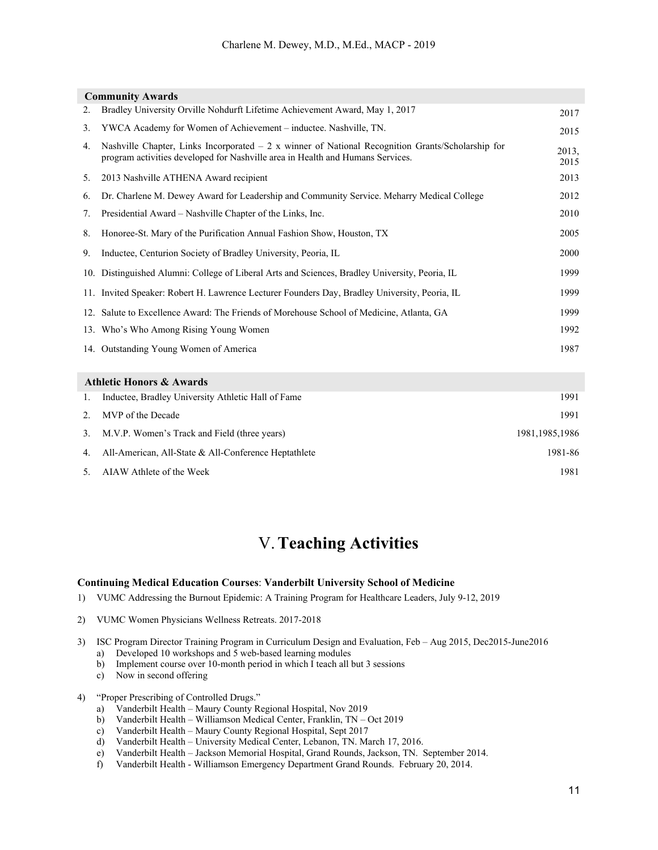|    | <b>Community Awards</b>                                                                                                                                                             |                  |
|----|-------------------------------------------------------------------------------------------------------------------------------------------------------------------------------------|------------------|
| 2. | Bradley University Orville Nohdurft Lifetime Achievement Award, May 1, 2017                                                                                                         | 2017             |
| 3. | YWCA Academy for Women of Achievement - inductee. Nashville, TN.                                                                                                                    | 2015             |
| 4. | Nashville Chapter, Links Incorporated $-2x$ winner of National Recognition Grants/Scholarship for<br>program activities developed for Nashville area in Health and Humans Services. | 2013,<br>2015    |
| 5. | 2013 Nashville ATHENA Award recipient                                                                                                                                               | 2013             |
| 6. | Dr. Charlene M. Dewey Award for Leadership and Community Service. Meharry Medical College                                                                                           | 2012             |
| 7. | Presidential Award – Nashville Chapter of the Links, Inc.                                                                                                                           | 2010             |
| 8. | Honoree-St. Mary of the Purification Annual Fashion Show, Houston, TX                                                                                                               | 2005             |
| 9. | Inductee, Centurion Society of Bradley University, Peoria, IL                                                                                                                       | 2000             |
|    | 10. Distinguished Alumni: College of Liberal Arts and Sciences, Bradley University, Peoria, IL                                                                                      | 1999             |
|    | 11. Invited Speaker: Robert H. Lawrence Lecturer Founders Day, Bradley University, Peoria, IL                                                                                       | 1999             |
|    | 12. Salute to Excellence Award: The Friends of Morehouse School of Medicine, Atlanta, GA                                                                                            | 1999             |
|    | 13. Who's Who Among Rising Young Women                                                                                                                                              | 1992             |
|    | 14. Outstanding Young Women of America                                                                                                                                              | 1987             |
|    | <b>Athletic Honors &amp; Awards</b>                                                                                                                                                 |                  |
| 1. | Inductee, Bradley University Athletic Hall of Fame                                                                                                                                  | 1991             |
| 2. | MVP of the Decade                                                                                                                                                                   | 1991             |
| 3. | M.V.P. Women's Track and Field (three years)                                                                                                                                        | 1981, 1985, 1986 |
| 4. | All-American, All-State & All-Conference Heptathlete                                                                                                                                | 1981-86          |
| 5. | AIAW Athlete of the Week                                                                                                                                                            | 1981             |

## V.**Teaching Activities**

#### **Continuing Medical Education Courses**: **Vanderbilt University School of Medicine**

- 1) VUMC Addressing the Burnout Epidemic: A Training Program for Healthcare Leaders, July 9-12, 2019
- 2) VUMC Women Physicians Wellness Retreats. 2017-2018
- 3) ISC Program Director Training Program in Curriculum Design and Evaluation, Feb Aug 2015, Dec2015-June2016
	- a) Developed 10 workshops and 5 web-based learning modules
	- b) Implement course over 10-month period in which I teach all but 3 sessions
	- c) Now in second offering
- 4) "Proper Prescribing of Controlled Drugs."
	- a) Vanderbilt Health Maury County Regional Hospital, Nov 2019
	- b) Vanderbilt Health Williamson Medical Center, Franklin, TN Oct 2019
	- c) Vanderbilt Health Maury County Regional Hospital, Sept 2017
	- d) Vanderbilt Health University Medical Center, Lebanon, TN. March 17, 2016.
	- e) Vanderbilt Health Jackson Memorial Hospital, Grand Rounds, Jackson, TN. September 2014.
	- f) Vanderbilt Health Williamson Emergency Department Grand Rounds. February 20, 2014.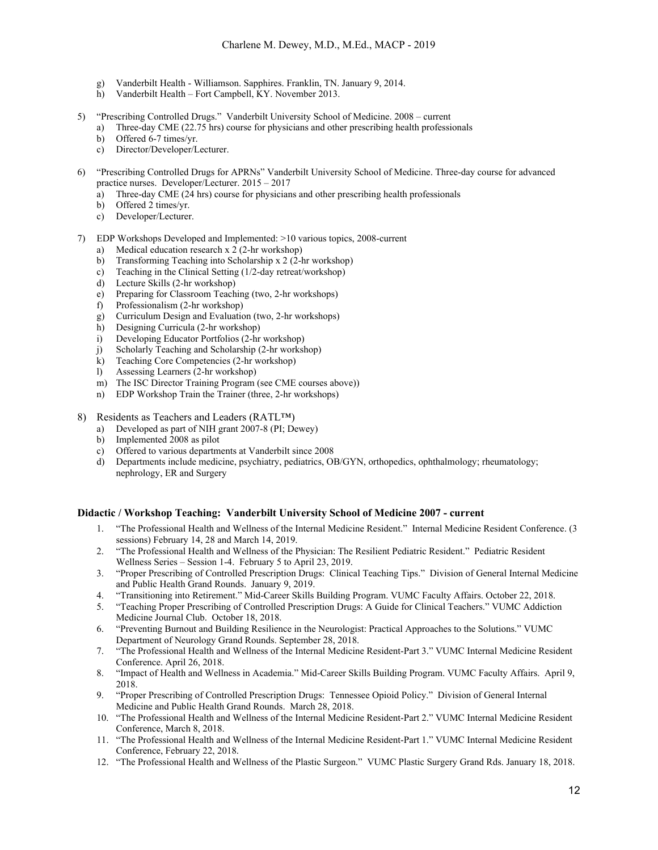- g) Vanderbilt Health Williamson. Sapphires. Franklin, TN. January 9, 2014.
- h) Vanderbilt Health Fort Campbell, KY. November 2013.
- 5) "Prescribing Controlled Drugs." Vanderbilt University School of Medicine. 2008 current
	- a) Three-day CME (22.75 hrs) course for physicians and other prescribing health professionals
	- b) Offered 6-7 times/yr.
	- c) Director/Developer/Lecturer.
- 6) "Prescribing Controlled Drugs for APRNs" Vanderbilt University School of Medicine. Three-day course for advanced practice nurses. Developer/Lecturer. 2015 – 2017
	- a) Three-day CME (24 hrs) course for physicians and other prescribing health professionals
	- b) Offered 2 times/yr.
	- c) Developer/Lecturer.
- 7) EDP Workshops Developed and Implemented: >10 various topics, 2008-current
	- a) Medical education research x 2 (2-hr workshop)
	- b) Transforming Teaching into Scholarship x 2 (2-hr workshop)
	- c) Teaching in the Clinical Setting (1/2-day retreat/workshop)
	- d) Lecture Skills (2-hr workshop)
	- e) Preparing for Classroom Teaching (two, 2-hr workshops)
	- f) Professionalism (2-hr workshop)
	- g) Curriculum Design and Evaluation (two, 2-hr workshops)
	- h) Designing Curricula (2-hr workshop)
	- i) Developing Educator Portfolios (2-hr workshop)
	- j) Scholarly Teaching and Scholarship (2-hr workshop)
	- k) Teaching Core Competencies (2-hr workshop)
	- l) Assessing Learners (2-hr workshop)
	- m) The ISC Director Training Program (see CME courses above))
	- n) EDP Workshop Train the Trainer (three, 2-hr workshops)
- 8) Residents as Teachers and Leaders (RATL™)
	- a) Developed as part of NIH grant 2007-8 (PI; Dewey)
	- b) Implemented 2008 as pilot
	- c) Offered to various departments at Vanderbilt since 2008
	- d) Departments include medicine, psychiatry, pediatrics, OB/GYN, orthopedics, ophthalmology; rheumatology; nephrology, ER and Surgery

#### **Didactic / Workshop Teaching: Vanderbilt University School of Medicine 2007 - current**

- 1. "The Professional Health and Wellness of the Internal Medicine Resident." Internal Medicine Resident Conference. (3 sessions) February 14, 28 and March 14, 2019.
- 2. "The Professional Health and Wellness of the Physician: The Resilient Pediatric Resident." Pediatric Resident Wellness Series – Session 1-4. February 5 to April 23, 2019.
- 3. "Proper Prescribing of Controlled Prescription Drugs: Clinical Teaching Tips." Division of General Internal Medicine and Public Health Grand Rounds. January 9, 2019.
- 4. "Transitioning into Retirement." Mid-Career Skills Building Program. VUMC Faculty Affairs. October 22, 2018.
- 5. "Teaching Proper Prescribing of Controlled Prescription Drugs: A Guide for Clinical Teachers." VUMC Addiction Medicine Journal Club. October 18, 2018.
- 6. "Preventing Burnout and Building Resilience in the Neurologist: Practical Approaches to the Solutions." VUMC Department of Neurology Grand Rounds. September 28, 2018.
- 7. "The Professional Health and Wellness of the Internal Medicine Resident-Part 3." VUMC Internal Medicine Resident Conference. April 26, 2018.
- 8. "Impact of Health and Wellness in Academia." Mid-Career Skills Building Program. VUMC Faculty Affairs. April 9, 2018.
- 9. "Proper Prescribing of Controlled Prescription Drugs: Tennessee Opioid Policy." Division of General Internal Medicine and Public Health Grand Rounds. March 28, 2018.
- 10. "The Professional Health and Wellness of the Internal Medicine Resident-Part 2." VUMC Internal Medicine Resident Conference, March 8, 2018.
- 11. "The Professional Health and Wellness of the Internal Medicine Resident-Part 1." VUMC Internal Medicine Resident Conference, February 22, 2018.
- 12. "The Professional Health and Wellness of the Plastic Surgeon." VUMC Plastic Surgery Grand Rds. January 18, 2018.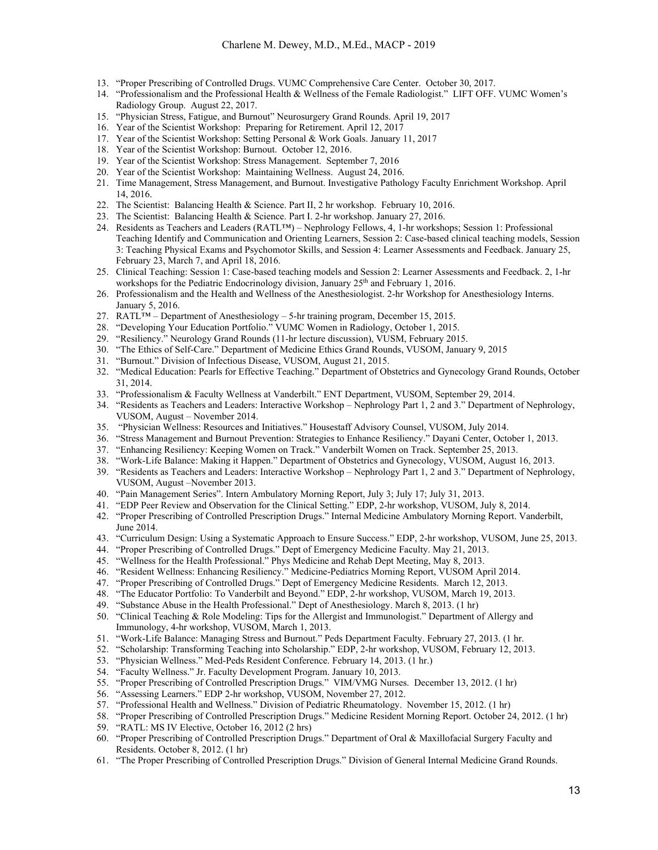- 13. "Proper Prescribing of Controlled Drugs. VUMC Comprehensive Care Center. October 30, 2017.
- 14. "Professionalism and the Professional Health & Wellness of the Female Radiologist." LIFT OFF. VUMC Women's Radiology Group. August 22, 2017.
- 15. "Physician Stress, Fatigue, and Burnout" Neurosurgery Grand Rounds. April 19, 2017
- 16. Year of the Scientist Workshop: Preparing for Retirement. April 12, 2017
- 17. Year of the Scientist Workshop: Setting Personal & Work Goals. January 11, 2017
- 18. Year of the Scientist Workshop: Burnout. October 12, 2016.
- 19. Year of the Scientist Workshop: Stress Management. September 7, 2016
- 20. Year of the Scientist Workshop: Maintaining Wellness. August 24, 2016.
- 21. Time Management, Stress Management, and Burnout. Investigative Pathology Faculty Enrichment Workshop. April 14, 2016.
- 22. The Scientist: Balancing Health & Science. Part II, 2 hr workshop. February 10, 2016.
- 23. The Scientist: Balancing Health & Science. Part I. 2-hr workshop. January 27, 2016.
- 24. Residents as Teachers and Leaders (RATL™) Nephrology Fellows, 4, 1-hr workshops; Session 1: Professional Teaching Identify and Communication and Orienting Learners, Session 2: Case-based clinical teaching models, Session 3: Teaching Physical Exams and Psychomotor Skills, and Session 4: Learner Assessments and Feedback. January 25, February 23, March 7, and April 18, 2016.
- 25. Clinical Teaching: Session 1: Case-based teaching models and Session 2: Learner Assessments and Feedback. 2, 1-hr workshops for the Pediatric Endocrinology division, January 25<sup>th</sup> and February 1, 2016.
- 26. Professionalism and the Health and Wellness of the Anesthesiologist. 2-hr Workshop for Anesthesiology Interns. January 5, 2016.
- 27. RATL™ Department of Anesthesiology 5-hr training program, December 15, 2015.
- 28. "Developing Your Education Portfolio." VUMC Women in Radiology, October 1, 2015.
- 29. "Resiliency." Neurology Grand Rounds (11-hr lecture discussion), VUSM, February 2015.
- 30. "The Ethics of Self-Care." Department of Medicine Ethics Grand Rounds, VUSOM, January 9, 2015
- 31. "Burnout." Division of Infectious Disease, VUSOM, August 21, 2015.
- 32. "Medical Education: Pearls for Effective Teaching." Department of Obstetrics and Gynecology Grand Rounds, October 31, 2014.
- 33. "Professionalism & Faculty Wellness at Vanderbilt." ENT Department, VUSOM, September 29, 2014.
- 34. "Residents as Teachers and Leaders: Interactive Workshop Nephrology Part 1, 2 and 3." Department of Nephrology, VUSOM, August – November 2014.
- 35. "Physician Wellness: Resources and Initiatives." Housestaff Advisory Counsel, VUSOM, July 2014.
- 36. "Stress Management and Burnout Prevention: Strategies to Enhance Resiliency." Dayani Center, October 1, 2013.
- 37. "Enhancing Resiliency: Keeping Women on Track." Vanderbilt Women on Track. September 25, 2013.
- 38. "Work-Life Balance: Making it Happen." Department of Obstetrics and Gynecology, VUSOM, August 16, 2013.
- 39. "Residents as Teachers and Leaders: Interactive Workshop Nephrology Part 1, 2 and 3." Department of Nephrology, VUSOM, August –November 2013.
- 40. "Pain Management Series". Intern Ambulatory Morning Report, July 3; July 17; July 31, 2013.
- 41. "EDP Peer Review and Observation for the Clinical Setting." EDP, 2-hr workshop, VUSOM, July 8, 2014.
- 42. "Proper Prescribing of Controlled Prescription Drugs." Internal Medicine Ambulatory Morning Report. Vanderbilt, June 2014.
- 43. "Curriculum Design: Using a Systematic Approach to Ensure Success." EDP, 2-hr workshop, VUSOM, June 25, 2013.
- 44. "Proper Prescribing of Controlled Drugs." Dept of Emergency Medicine Faculty. May 21, 2013.
- 45. "Wellness for the Health Professional." Phys Medicine and Rehab Dept Meeting, May 8, 2013.
- 46. "Resident Wellness: Enhancing Resiliency." Medicine-Pediatrics Morning Report, VUSOM April 2014.
- 47. "Proper Prescribing of Controlled Drugs." Dept of Emergency Medicine Residents. March 12, 2013.
- 48. "The Educator Portfolio: To Vanderbilt and Beyond." EDP, 2-hr workshop, VUSOM, March 19, 2013.
- 49. "Substance Abuse in the Health Professional." Dept of Anesthesiology. March 8, 2013. (1 hr)
- 50. "Clinical Teaching & Role Modeling: Tips for the Allergist and Immunologist." Department of Allergy and Immunology, 4-hr workshop, VUSOM, March 1, 2013.
- 51. "Work-Life Balance: Managing Stress and Burnout." Peds Department Faculty. February 27, 2013. (1 hr.
- 52. "Scholarship: Transforming Teaching into Scholarship." EDP, 2-hr workshop, VUSOM, February 12, 2013.
- 53. "Physician Wellness." Med-Peds Resident Conference. February 14, 2013. (1 hr.)
- 54. "Faculty Wellness." Jr. Faculty Development Program. January 10, 2013.
- 55. "Proper Prescribing of Controlled Prescription Drugs." VIM/VMG Nurses. December 13, 2012. (1 hr)
- 56. "Assessing Learners." EDP 2-hr workshop, VUSOM, November 27, 2012.
- 57. "Professional Health and Wellness." Division of Pediatric Rheumatology. November 15, 2012. (1 hr)
- 58. "Proper Prescribing of Controlled Prescription Drugs." Medicine Resident Morning Report. October 24, 2012. (1 hr)
- 59. "RATL: MS IV Elective, October 16, 2012 (2 hrs)
- 60. "Proper Prescribing of Controlled Prescription Drugs." Department of Oral & Maxillofacial Surgery Faculty and Residents. October 8, 2012. (1 hr)
- 61. "The Proper Prescribing of Controlled Prescription Drugs." Division of General Internal Medicine Grand Rounds.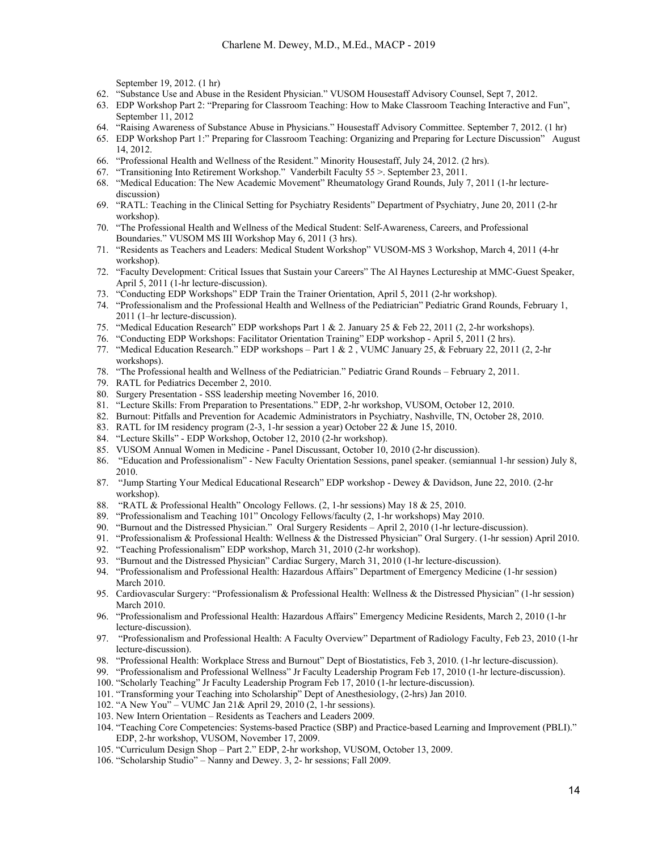September 19, 2012. (1 hr)

- 62. "Substance Use and Abuse in the Resident Physician." VUSOM Housestaff Advisory Counsel, Sept 7, 2012.
- 63. EDP Workshop Part 2: "Preparing for Classroom Teaching: How to Make Classroom Teaching Interactive and Fun", September 11, 2012
- 64. "Raising Awareness of Substance Abuse in Physicians." Housestaff Advisory Committee. September 7, 2012. (1 hr)
- 65. EDP Workshop Part 1:" Preparing for Classroom Teaching: Organizing and Preparing for Lecture Discussion" August 14, 2012.
- 66. "Professional Health and Wellness of the Resident." Minority Housestaff, July 24, 2012. (2 hrs).
- 67. "Transitioning Into Retirement Workshop." Vanderbilt Faculty 55 >. September 23, 2011.
- 68. "Medical Education: The New Academic Movement" Rheumatology Grand Rounds, July 7, 2011 (1-hr lecturediscussion)
- 69. "RATL: Teaching in the Clinical Setting for Psychiatry Residents" Department of Psychiatry, June 20, 2011 (2-hr workshop).
- 70. "The Professional Health and Wellness of the Medical Student: Self-Awareness, Careers, and Professional Boundaries." VUSOM MS III Workshop May 6, 2011 (3 hrs).
- 71. "Residents as Teachers and Leaders: Medical Student Workshop" VUSOM-MS 3 Workshop, March 4, 2011 (4-hr workshop).
- 72. "Faculty Development: Critical Issues that Sustain your Careers" The Al Haynes Lectureship at MMC-Guest Speaker, April 5, 2011 (1-hr lecture-discussion).
- 73. "Conducting EDP Workshops" EDP Train the Trainer Orientation, April 5, 2011 (2-hr workshop).
- 74. "Professionalism and the Professional Health and Wellness of the Pediatrician" Pediatric Grand Rounds, February 1, 2011 (1–hr lecture-discussion).
- 75. "Medical Education Research" EDP workshops Part 1 & 2. January 25 & Feb 22, 2011 (2, 2-hr workshops).
- 76. "Conducting EDP Workshops: Facilitator Orientation Training" EDP workshop April 5, 2011 (2 hrs).
- 77. "Medical Education Research." EDP workshops Part 1 & 2 , VUMC January 25, & February 22, 2011 (2, 2-hr workshops).
- 78. "The Professional health and Wellness of the Pediatrician." Pediatric Grand Rounds February 2, 2011.
- 79. RATL for Pediatrics December 2, 2010.
- 80. Surgery Presentation SSS leadership meeting November 16, 2010.
- 81. "Lecture Skills: From Preparation to Presentations." EDP, 2-hr workshop, VUSOM, October 12, 2010.
- 82. Burnout: Pitfalls and Prevention for Academic Administrators in Psychiatry, Nashville, TN, October 28, 2010.
- 83. RATL for IM residency program (2-3, 1-hr session a year) October 22 & June 15, 2010.
- 84. "Lecture Skills" EDP Workshop, October 12, 2010 (2-hr workshop).
- 85. VUSOM Annual Women in Medicine Panel Discussant, October 10, 2010 (2-hr discussion).
- 86. "Education and Professionalism" New Faculty Orientation Sessions, panel speaker. (semiannual 1-hr session) July 8, 2010.
- 87. "Jump Starting Your Medical Educational Research" EDP workshop Dewey & Davidson, June 22, 2010. (2-hr workshop).
- 88. "RATL & Professional Health" Oncology Fellows. (2, 1-hr sessions) May 18 & 25, 2010.
- 89. "Professionalism and Teaching 101" Oncology Fellows/faculty (2, 1-hr workshops) May 2010.
- 90. "Burnout and the Distressed Physician." Oral Surgery Residents April 2, 2010 (1-hr lecture-discussion).
- 91. "Professionalism & Professional Health: Wellness & the Distressed Physician" Oral Surgery. (1-hr session) April 2010.
- 92. "Teaching Professionalism" EDP workshop, March 31, 2010 (2-hr workshop).
- 93. "Burnout and the Distressed Physician" Cardiac Surgery, March 31, 2010 (1-hr lecture-discussion).
- 94. "Professionalism and Professional Health: Hazardous Affairs" Department of Emergency Medicine (1-hr session) March 2010.
- 95. Cardiovascular Surgery: "Professionalism & Professional Health: Wellness & the Distressed Physician" (1-hr session) March 2010.
- 96. "Professionalism and Professional Health: Hazardous Affairs" Emergency Medicine Residents, March 2, 2010 (1-hr lecture-discussion).
- 97. "Professionalism and Professional Health: A Faculty Overview" Department of Radiology Faculty, Feb 23, 2010 (1-hr lecture-discussion).
- 98. "Professional Health: Workplace Stress and Burnout" Dept of Biostatistics, Feb 3, 2010. (1-hr lecture-discussion).
- 99. "Professionalism and Professional Wellness" Jr Faculty Leadership Program Feb 17, 2010 (1-hr lecture-discussion).
- 100. "Scholarly Teaching" Jr Faculty Leadership Program Feb 17, 2010 (1-hr lecture-discussion).
- 101. "Transforming your Teaching into Scholarship" Dept of Anesthesiology, (2-hrs) Jan 2010.
- 102. "A New You" VUMC Jan 21& April 29, 2010 (2, 1-hr sessions).
- 103. New Intern Orientation Residents as Teachers and Leaders 2009.
- 104. "Teaching Core Competencies: Systems-based Practice (SBP) and Practice-based Learning and Improvement (PBLI)." EDP, 2-hr workshop, VUSOM, November 17, 2009.
- 105. "Curriculum Design Shop Part 2." EDP, 2-hr workshop, VUSOM, October 13, 2009.
- 106. "Scholarship Studio" Nanny and Dewey. 3, 2- hr sessions; Fall 2009.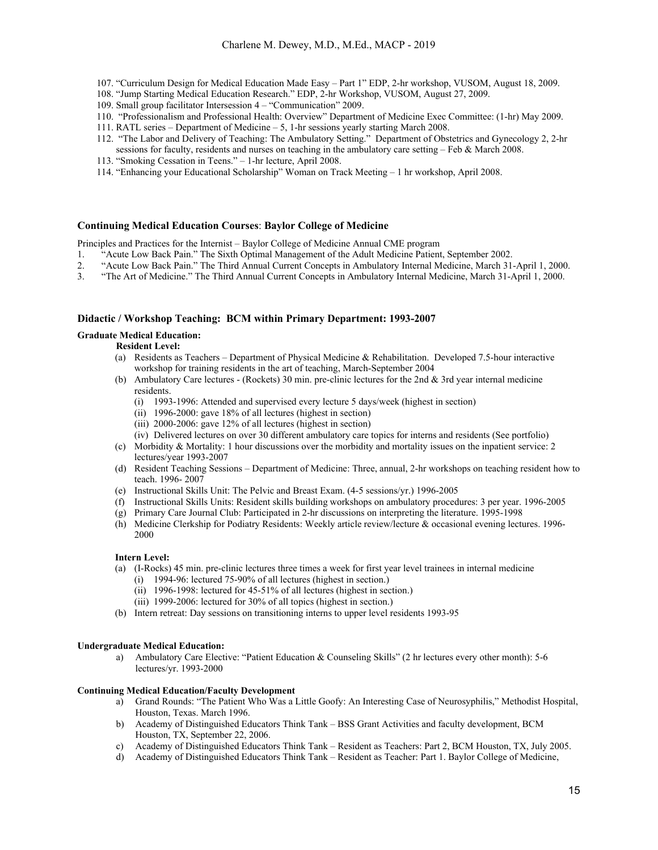- 107. "Curriculum Design for Medical Education Made Easy Part 1" EDP, 2-hr workshop, VUSOM, August 18, 2009.
- 108. "Jump Starting Medical Education Research." EDP, 2-hr Workshop, VUSOM, August 27, 2009.
- 109. Small group facilitator Intersession 4 "Communication" 2009.
- 110. "Professionalism and Professional Health: Overview" Department of Medicine Exec Committee: (1-hr) May 2009.
- 111. RATL series Department of Medicine 5, 1-hr sessions yearly starting March 2008.
- 112. "The Labor and Delivery of Teaching: The Ambulatory Setting." Department of Obstetrics and Gynecology 2, 2-hr sessions for faculty, residents and nurses on teaching in the ambulatory care setting – Feb & March 2008.
- 113. "Smoking Cessation in Teens." 1-hr lecture, April 2008.
- 114. "Enhancing your Educational Scholarship" Woman on Track Meeting 1 hr workshop, April 2008.

#### **Continuing Medical Education Courses**: **Baylor College of Medicine**

Principles and Practices for the Internist – Baylor College of Medicine Annual CME program

- 1. "Acute Low Back Pain." The Sixth Optimal Management of the Adult Medicine Patient, September 2002.
- 2. "Acute Low Back Pain." The Third Annual Current Concepts in Ambulatory Internal Medicine, March 31-April 1, 2000.
- 3. "The Art of Medicine." The Third Annual Current Concepts in Ambulatory Internal Medicine, March 31-April 1, 2000.

#### **Didactic / Workshop Teaching: BCM within Primary Department: 1993-2007**

#### **Graduate Medical Education:**

#### **Resident Level:**

- (a) Residents as Teachers Department of Physical Medicine & Rehabilitation. Developed 7.5-hour interactive workshop for training residents in the art of teaching, March-September 2004
- (b) Ambulatory Care lectures (Rockets) 30 min. pre-clinic lectures for the 2nd & 3rd year internal medicine residents.
	- (i) 1993-1996: Attended and supervised every lecture 5 days/week (highest in section)
	- (ii) 1996-2000: gave 18% of all lectures (highest in section)
	- (iii) 2000-2006: gave 12% of all lectures (highest in section)
	- (iv) Delivered lectures on over 30 different ambulatory care topics for interns and residents (See portfolio)
- (c) Morbidity & Mortality: 1 hour discussions over the morbidity and mortality issues on the inpatient service: 2 lectures/year 1993-2007
- (d) Resident Teaching Sessions Department of Medicine: Three, annual, 2-hr workshops on teaching resident how to teach. 1996- 2007
- (e) Instructional Skills Unit: The Pelvic and Breast Exam. (4-5 sessions/yr.) 1996-2005
- (f) Instructional Skills Units: Resident skills building workshops on ambulatory procedures: 3 per year. 1996-2005
- (g) Primary Care Journal Club: Participated in 2-hr discussions on interpreting the literature. 1995-1998
- (h) Medicine Clerkship for Podiatry Residents: Weekly article review/lecture & occasional evening lectures. 1996- 2000

#### **Intern Level:**

- (a) (I-Rocks) 45 min. pre-clinic lectures three times a week for first year level trainees in internal medicine
	- (i) 1994-96: lectured 75-90% of all lectures (highest in section.)
	- (ii) 1996-1998: lectured for 45-51% of all lectures (highest in section.)
	- (iii) 1999-2006: lectured for 30% of all topics (highest in section.)
- (b) Intern retreat: Day sessions on transitioning interns to upper level residents 1993-95

#### **Undergraduate Medical Education:**

a) Ambulatory Care Elective: "Patient Education & Counseling Skills" (2 hr lectures every other month): 5-6 lectures/yr. 1993-2000

#### **Continuing Medical Education/Faculty Development**

- a) Grand Rounds: "The Patient Who Was a Little Goofy: An Interesting Case of Neurosyphilis," Methodist Hospital, Houston, Texas. March 1996.
- b) Academy of Distinguished Educators Think Tank BSS Grant Activities and faculty development, BCM Houston, TX, September 22, 2006.
- c) Academy of Distinguished Educators Think Tank Resident as Teachers: Part 2, BCM Houston, TX, July 2005.
- d) Academy of Distinguished Educators Think Tank Resident as Teacher: Part 1. Baylor College of Medicine,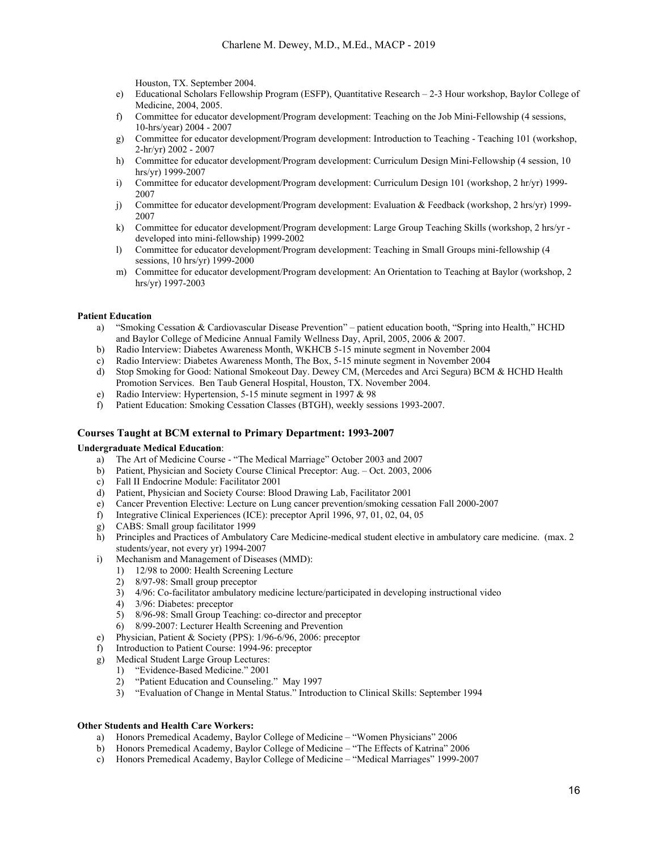Houston, TX. September 2004.

- e) Educational Scholars Fellowship Program (ESFP), Quantitative Research 2-3 Hour workshop, Baylor College of Medicine, 2004, 2005.
- f) Committee for educator development/Program development: Teaching on the Job Mini-Fellowship (4 sessions, 10-hrs/year) 2004 - 2007
- g) Committee for educator development/Program development: Introduction to Teaching Teaching 101 (workshop, 2-hr/yr) 2002 - 2007
- h) Committee for educator development/Program development: Curriculum Design Mini-Fellowship (4 session, 10 hrs/yr) 1999-2007
- i) Committee for educator development/Program development: Curriculum Design 101 (workshop, 2 hr/yr) 1999- 2007
- j) Committee for educator development/Program development: Evaluation & Feedback (workshop, 2 hrs/yr) 1999- 2007
- k) Committee for educator development/Program development: Large Group Teaching Skills (workshop, 2 hrs/yr developed into mini-fellowship) 1999-2002
- l) Committee for educator development/Program development: Teaching in Small Groups mini-fellowship (4 sessions, 10 hrs/yr) 1999-2000
- m) Committee for educator development/Program development: An Orientation to Teaching at Baylor (workshop, 2 hrs/yr) 1997-2003

#### **Patient Education**

- a) "Smoking Cessation & Cardiovascular Disease Prevention" patient education booth, "Spring into Health," HCHD and Baylor College of Medicine Annual Family Wellness Day, April, 2005, 2006 & 2007.
- b) Radio Interview: Diabetes Awareness Month, WKHCB 5-15 minute segment in November 2004
- c) Radio Interview: Diabetes Awareness Month, The Box, 5-15 minute segment in November 2004
- d) Stop Smoking for Good: National Smokeout Day. Dewey CM, (Mercedes and Arci Segura) BCM & HCHD Health Promotion Services. Ben Taub General Hospital, Houston, TX. November 2004.
- e) Radio Interview: Hypertension, 5-15 minute segment in 1997 & 98
- f) Patient Education: Smoking Cessation Classes (BTGH), weekly sessions 1993-2007.

#### **Courses Taught at BCM external to Primary Department: 1993-2007**

#### **Undergraduate Medical Education**:

- a) The Art of Medicine Course "The Medical Marriage" October 2003 and 2007
- b) Patient, Physician and Society Course Clinical Preceptor: Aug. Oct. 2003, 2006
- c) Fall II Endocrine Module: Facilitator 2001
- d) Patient, Physician and Society Course: Blood Drawing Lab, Facilitator 2001
- e) Cancer Prevention Elective: Lecture on Lung cancer prevention/smoking cessation Fall 2000-2007
- f) Integrative Clinical Experiences (ICE): preceptor April 1996, 97, 01, 02, 04, 05
- g) CABS: Small group facilitator 1999
- h) Principles and Practices of Ambulatory Care Medicine-medical student elective in ambulatory care medicine. (max. 2 students/year, not every yr) 1994-2007
- i) Mechanism and Management of Diseases (MMD):
	- 1) 12/98 to 2000: Health Screening Lecture
	- 2) 8/97-98: Small group preceptor
	- 3) 4/96: Co-facilitator ambulatory medicine lecture/participated in developing instructional video
	- 4) 3/96: Diabetes: preceptor
	- 5) 8/96-98: Small Group Teaching: co-director and preceptor
	- 6) 8/99-2007: Lecturer Health Screening and Prevention
- e) Physician, Patient & Society (PPS): 1/96-6/96, 2006: preceptor
- f) Introduction to Patient Course: 1994-96: preceptor
- g) Medical Student Large Group Lectures:
	- 1) "Evidence-Based Medicine." 2001
	- 2) "Patient Education and Counseling." May 1997
	- 3) "Evaluation of Change in Mental Status." Introduction to Clinical Skills: September 1994

#### **Other Students and Health Care Workers:**

- a) Honors Premedical Academy, Baylor College of Medicine "Women Physicians" 2006
- b) Honors Premedical Academy, Baylor College of Medicine "The Effects of Katrina" 2006
- c) Honors Premedical Academy, Baylor College of Medicine "Medical Marriages" 1999-2007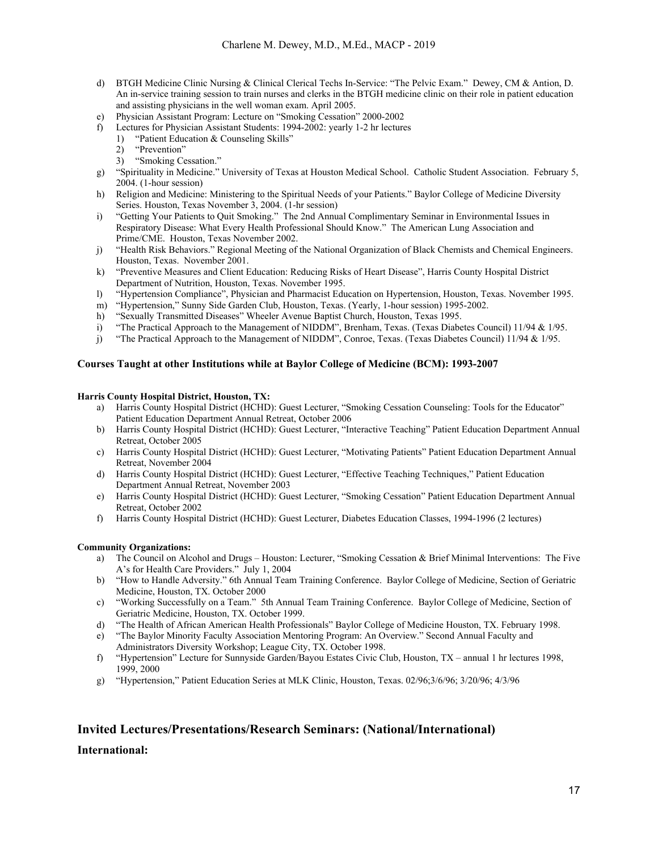- d) BTGH Medicine Clinic Nursing & Clinical Clerical Techs In-Service: "The Pelvic Exam." Dewey, CM & Antion, D. An in-service training session to train nurses and clerks in the BTGH medicine clinic on their role in patient education and assisting physicians in the well woman exam. April 2005.
- e) Physician Assistant Program: Lecture on "Smoking Cessation" 2000-2002
- f) Lectures for Physician Assistant Students: 1994-2002: yearly 1-2 hr lectures
	- 1) "Patient Education & Counseling Skills"
	- 2) "Prevention"
	- 3) "Smoking Cessation."
- g) "Spirituality in Medicine." University of Texas at Houston Medical School. Catholic Student Association. February 5, 2004. (1-hour session)
- h) Religion and Medicine: Ministering to the Spiritual Needs of your Patients." Baylor College of Medicine Diversity Series. Houston, Texas November 3, 2004. (1-hr session)
- i) "Getting Your Patients to Quit Smoking." The 2nd Annual Complimentary Seminar in Environmental Issues in Respiratory Disease: What Every Health Professional Should Know." The American Lung Association and Prime/CME. Houston, Texas November 2002.
- j) "Health Risk Behaviors." Regional Meeting of the National Organization of Black Chemists and Chemical Engineers. Houston, Texas. November 2001.
- k) "Preventive Measures and Client Education: Reducing Risks of Heart Disease", Harris County Hospital District Department of Nutrition, Houston, Texas. November 1995.
- l) "Hypertension Compliance", Physician and Pharmacist Education on Hypertension, Houston, Texas. November 1995.
- m) "Hypertension," Sunny Side Garden Club, Houston, Texas. (Yearly, 1-hour session) 1995-2002.
- h) "Sexually Transmitted Diseases" Wheeler Avenue Baptist Church, Houston, Texas 1995.
- i) "The Practical Approach to the Management of NIDDM", Brenham, Texas. (Texas Diabetes Council) 11/94 & 1/95.
- j) "The Practical Approach to the Management of NIDDM", Conroe, Texas. (Texas Diabetes Council) 11/94 & 1/95.

#### **Courses Taught at other Institutions while at Baylor College of Medicine (BCM): 1993-2007**

#### **Harris County Hospital District, Houston, TX:**

- a) Harris County Hospital District (HCHD): Guest Lecturer, "Smoking Cessation Counseling: Tools for the Educator" Patient Education Department Annual Retreat, October 2006
- b) Harris County Hospital District (HCHD): Guest Lecturer, "Interactive Teaching" Patient Education Department Annual Retreat, October 2005
- c) Harris County Hospital District (HCHD): Guest Lecturer, "Motivating Patients" Patient Education Department Annual Retreat, November 2004
- d) Harris County Hospital District (HCHD): Guest Lecturer, "Effective Teaching Techniques," Patient Education Department Annual Retreat, November 2003
- e) Harris County Hospital District (HCHD): Guest Lecturer, "Smoking Cessation" Patient Education Department Annual Retreat, October 2002
- f) Harris County Hospital District (HCHD): Guest Lecturer, Diabetes Education Classes, 1994-1996 (2 lectures)

#### **Community Organizations:**

- a) The Council on Alcohol and Drugs Houston: Lecturer, "Smoking Cessation & Brief Minimal Interventions: The Five A's for Health Care Providers." July 1, 2004
- b) "How to Handle Adversity." 6th Annual Team Training Conference. Baylor College of Medicine, Section of Geriatric Medicine, Houston, TX. October 2000
- c) "Working Successfully on a Team." 5th Annual Team Training Conference. Baylor College of Medicine, Section of Geriatric Medicine, Houston, TX. October 1999.
- d) "The Health of African American Health Professionals" Baylor College of Medicine Houston, TX. February 1998.
- e) "The Baylor Minority Faculty Association Mentoring Program: An Overview." Second Annual Faculty and Administrators Diversity Workshop; League City, TX. October 1998.
- f) "Hypertension" Lecture for Sunnyside Garden/Bayou Estates Civic Club, Houston, TX annual 1 hr lectures 1998, 1999, 2000
- g) "Hypertension," Patient Education Series at MLK Clinic, Houston, Texas. 02/96;3/6/96; 3/20/96; 4/3/96

## **Invited Lectures/Presentations/Research Seminars: (National/International)**

### **International:**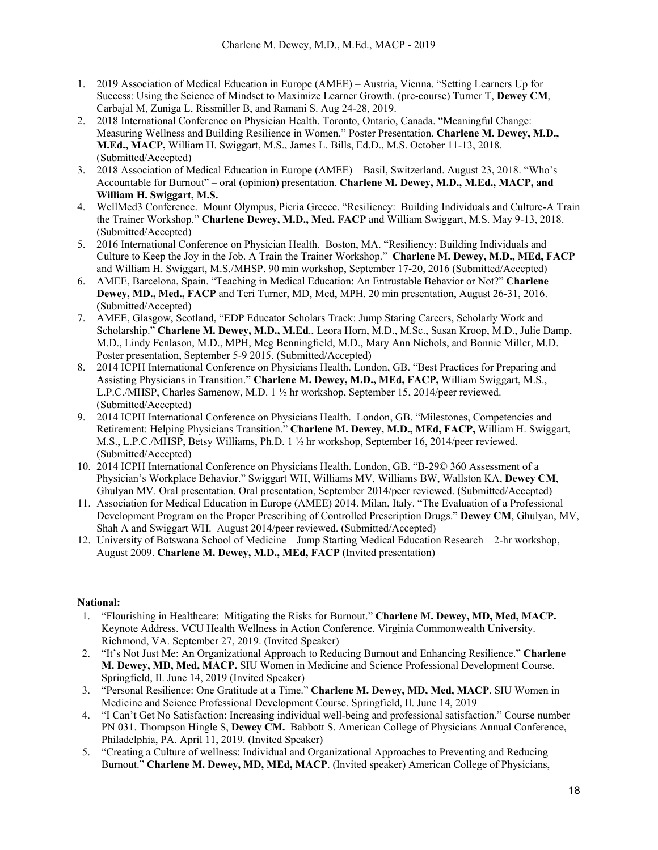- 1. 2019 Association of Medical Education in Europe (AMEE) Austria, Vienna. "Setting Learners Up for Success: Using the Science of Mindset to Maximize Learner Growth. (pre-course) Turner T, **Dewey CM**, Carbajal M, Zuniga L, Rissmiller B, and Ramani S. Aug 24-28, 2019.
- 2. 2018 International Conference on Physician Health. Toronto, Ontario, Canada. "Meaningful Change: Measuring Wellness and Building Resilience in Women." Poster Presentation. **Charlene M. Dewey, M.D., M.Ed., MACP,** William H. Swiggart, M.S., James L. Bills, Ed.D., M.S. October 11-13, 2018. (Submitted/Accepted)
- 3. 2018 Association of Medical Education in Europe (AMEE) Basil, Switzerland. August 23, 2018. "Who's Accountable for Burnout" – oral (opinion) presentation. **Charlene M. Dewey, M.D., M.Ed., MACP, and William H. Swiggart, M.S.**
- 4. WellMed3 Conference. Mount Olympus, Pieria Greece. "Resiliency: Building Individuals and Culture-A Train the Trainer Workshop." **Charlene Dewey, M.D., Med. FACP** and William Swiggart, M.S. May 9-13, 2018. (Submitted/Accepted)
- 5. 2016 International Conference on Physician Health. Boston, MA. "Resiliency: Building Individuals and Culture to Keep the Joy in the Job. A Train the Trainer Workshop." **Charlene M. Dewey, M.D., MEd, FACP**  and William H. Swiggart, M.S./MHSP. 90 min workshop, September 17-20, 2016 (Submitted/Accepted)
- 6. AMEE, Barcelona, Spain. "Teaching in Medical Education: An Entrustable Behavior or Not?" **Charlene Dewey, MD., Med., FACP** and Teri Turner, MD, Med, MPH. 20 min presentation, August 26-31, 2016. (Submitted/Accepted)
- 7. AMEE, Glasgow, Scotland, "EDP Educator Scholars Track: Jump Staring Careers, Scholarly Work and Scholarship." **Charlene M. Dewey, M.D., M.Ed**., Leora Horn, M.D., M.Sc., Susan Kroop, M.D., Julie Damp, M.D., Lindy Fenlason, M.D., MPH, Meg Benningfield, M.D., Mary Ann Nichols, and Bonnie Miller, M.D. Poster presentation, September 5-9 2015. (Submitted/Accepted)
- 8. 2014 ICPH International Conference on Physicians Health. London, GB. "Best Practices for Preparing and Assisting Physicians in Transition." **Charlene M. Dewey, M.D., MEd, FACP,** William Swiggart, M.S., L.P.C./MHSP, Charles Samenow, M.D. 1 ½ hr workshop, September 15, 2014/peer reviewed. (Submitted/Accepted)
- 9. 2014 ICPH International Conference on Physicians Health. London, GB. "Milestones, Competencies and Retirement: Helping Physicians Transition." **Charlene M. Dewey, M.D., MEd, FACP,** William H. Swiggart, M.S., L.P.C./MHSP, Betsy Williams, Ph.D. 1 ½ hr workshop, September 16, 2014/peer reviewed. (Submitted/Accepted)
- 10. 2014 ICPH International Conference on Physicians Health. London, GB. "B-29© 360 Assessment of a Physician's Workplace Behavior." Swiggart WH, Williams MV, Williams BW, Wallston KA, **Dewey CM**, Ghulyan MV. Oral presentation. Oral presentation, September 2014/peer reviewed. (Submitted/Accepted)
- 11. Association for Medical Education in Europe (AMEE) 2014. Milan, Italy. "The Evaluation of a Professional Development Program on the Proper Prescribing of Controlled Prescription Drugs." **Dewey CM**, Ghulyan, MV, Shah A and Swiggart WH. August 2014/peer reviewed. (Submitted/Accepted)
- 12. University of Botswana School of Medicine Jump Starting Medical Education Research 2-hr workshop, August 2009. **Charlene M. Dewey, M.D., MEd, FACP** (Invited presentation)

### **National:**

- 1. "Flourishing in Healthcare: Mitigating the Risks for Burnout." **Charlene M. Dewey, MD, Med, MACP.**  Keynote Address. VCU Health Wellness in Action Conference. Virginia Commonwealth University. Richmond, VA. September 27, 2019. (Invited Speaker)
- 2. "It's Not Just Me: An Organizational Approach to Reducing Burnout and Enhancing Resilience." **Charlene M. Dewey, MD, Med, MACP.** SIU Women in Medicine and Science Professional Development Course. Springfield, Il. June 14, 2019 (Invited Speaker)
- 3. "Personal Resilience: One Gratitude at a Time." **Charlene M. Dewey, MD, Med, MACP**. SIU Women in Medicine and Science Professional Development Course. Springfield, Il. June 14, 2019
- 4. "I Can't Get No Satisfaction: Increasing individual well-being and professional satisfaction." Course number PN 031. Thompson Hingle S, **Dewey CM.** Babbott S. American College of Physicians Annual Conference, Philadelphia, PA. April 11, 2019. (Invited Speaker)
- 5. "Creating a Culture of wellness: Individual and Organizational Approaches to Preventing and Reducing Burnout." **Charlene M. Dewey, MD, MEd, MACP**. (Invited speaker) American College of Physicians,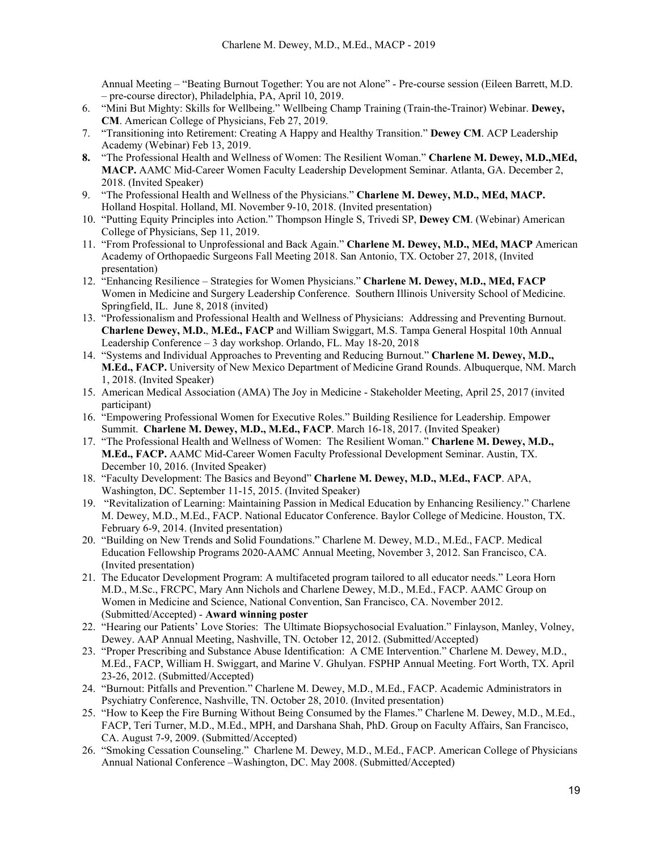Annual Meeting – "Beating Burnout Together: You are not Alone" - Pre-course session (Eileen Barrett, M.D. – pre-course director), Philadelphia, PA, April 10, 2019.

- 6. "Mini But Mighty: Skills for Wellbeing." Wellbeing Champ Training (Train-the-Trainor) Webinar. **Dewey, CM**. American College of Physicians, Feb 27, 2019.
- 7. "Transitioning into Retirement: Creating A Happy and Healthy Transition." **Dewey CM**. ACP Leadership Academy (Webinar) Feb 13, 2019.
- **8.** "The Professional Health and Wellness of Women: The Resilient Woman." **Charlene M. Dewey, M.D.,MEd, MACP.** AAMC Mid-Career Women Faculty Leadership Development Seminar. Atlanta, GA. December 2, 2018. (Invited Speaker)
- 9. "The Professional Health and Wellness of the Physicians." **Charlene M. Dewey, M.D., MEd, MACP.**  Holland Hospital. Holland, MI. November 9-10, 2018. (Invited presentation)
- 10. "Putting Equity Principles into Action." Thompson Hingle S, Trivedi SP, **Dewey CM**. (Webinar) American College of Physicians, Sep 11, 2019.
- 11. "From Professional to Unprofessional and Back Again." **Charlene M. Dewey, M.D., MEd, MACP** American Academy of Orthopaedic Surgeons Fall Meeting 2018. San Antonio, TX. October 27, 2018, (Invited presentation)
- 12. "Enhancing Resilience Strategies for Women Physicians." **Charlene M. Dewey, M.D., MEd, FACP**  Women in Medicine and Surgery Leadership Conference. Southern Illinois University School of Medicine. Springfield, IL. June 8, 2018 (invited)
- 13. "Professionalism and Professional Health and Wellness of Physicians: Addressing and Preventing Burnout. **Charlene Dewey, M.D.**, **M.Ed., FACP** and William Swiggart, M.S. Tampa General Hospital 10th Annual Leadership Conference – 3 day workshop. Orlando, FL. May 18-20, 2018
- 14. "Systems and Individual Approaches to Preventing and Reducing Burnout." **Charlene M. Dewey, M.D., M.Ed., FACP.** University of New Mexico Department of Medicine Grand Rounds. Albuquerque, NM. March 1, 2018. (Invited Speaker)
- 15. American Medical Association (AMA) The Joy in Medicine Stakeholder Meeting, April 25, 2017 (invited participant)
- 16. "Empowering Professional Women for Executive Roles." Building Resilience for Leadership. Empower Summit. **Charlene M. Dewey, M.D., M.Ed., FACP**. March 16-18, 2017. (Invited Speaker)
- 17. "The Professional Health and Wellness of Women: The Resilient Woman." **Charlene M. Dewey, M.D., M.Ed., FACP.** AAMC Mid-Career Women Faculty Professional Development Seminar. Austin, TX. December 10, 2016. (Invited Speaker)
- 18. "Faculty Development: The Basics and Beyond" **Charlene M. Dewey, M.D., M.Ed., FACP**. APA, Washington, DC. September 11-15, 2015. (Invited Speaker)
- 19. "Revitalization of Learning: Maintaining Passion in Medical Education by Enhancing Resiliency." Charlene M. Dewey, M.D., M.Ed., FACP. National Educator Conference. Baylor College of Medicine. Houston, TX. February 6-9, 2014. (Invited presentation)
- 20. "Building on New Trends and Solid Foundations." Charlene M. Dewey, M.D., M.Ed., FACP. Medical Education Fellowship Programs 2020-AAMC Annual Meeting, November 3, 2012. San Francisco, CA. (Invited presentation)
- 21. The Educator Development Program: A multifaceted program tailored to all educator needs." Leora Horn M.D., M.Sc., FRCPC, Mary Ann Nichols and Charlene Dewey, M.D., M.Ed., FACP. AAMC Group on Women in Medicine and Science, National Convention, San Francisco, CA. November 2012. (Submitted/Accepted) - **Award winning poster**
- 22. "Hearing our Patients' Love Stories: The Ultimate Biopsychosocial Evaluation." Finlayson, Manley, Volney, Dewey. AAP Annual Meeting, Nashville, TN. October 12, 2012. (Submitted/Accepted)
- 23. "Proper Prescribing and Substance Abuse Identification: A CME Intervention." Charlene M. Dewey, M.D., M.Ed., FACP, William H. Swiggart, and Marine V. Ghulyan. FSPHP Annual Meeting. Fort Worth, TX. April 23-26, 2012. (Submitted/Accepted)
- 24. "Burnout: Pitfalls and Prevention." Charlene M. Dewey, M.D., M.Ed., FACP. Academic Administrators in Psychiatry Conference, Nashville, TN. October 28, 2010. (Invited presentation)
- 25. "How to Keep the Fire Burning Without Being Consumed by the Flames." Charlene M. Dewey, M.D., M.Ed., FACP, Teri Turner, M.D., M.Ed., MPH, and Darshana Shah, PhD. Group on Faculty Affairs, San Francisco, CA. August 7-9, 2009. (Submitted/Accepted)
- 26. "Smoking Cessation Counseling." Charlene M. Dewey, M.D., M.Ed., FACP. American College of Physicians Annual National Conference –Washington, DC. May 2008. (Submitted/Accepted)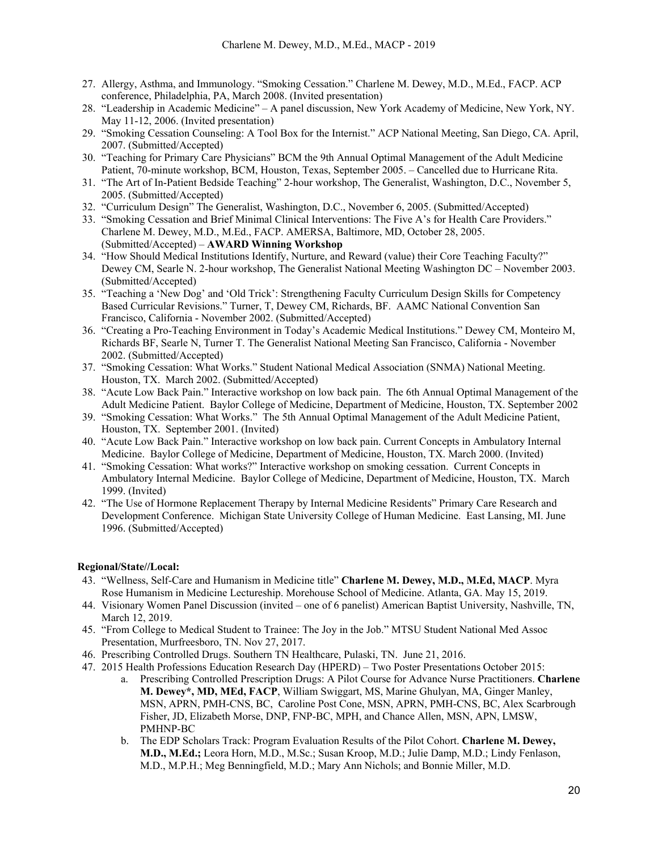- 27. Allergy, Asthma, and Immunology. "Smoking Cessation." Charlene M. Dewey, M.D., M.Ed., FACP. ACP conference, Philadelphia, PA, March 2008. (Invited presentation)
- 28. "Leadership in Academic Medicine" A panel discussion, New York Academy of Medicine, New York, NY. May 11-12, 2006. (Invited presentation)
- 29. "Smoking Cessation Counseling: A Tool Box for the Internist." ACP National Meeting, San Diego, CA. April, 2007. (Submitted/Accepted)
- 30. "Teaching for Primary Care Physicians" BCM the 9th Annual Optimal Management of the Adult Medicine Patient, 70-minute workshop, BCM, Houston, Texas, September 2005. – Cancelled due to Hurricane Rita.
- 31. "The Art of In-Patient Bedside Teaching" 2-hour workshop, The Generalist, Washington, D.C., November 5, 2005. (Submitted/Accepted)
- 32. "Curriculum Design" The Generalist, Washington, D.C., November 6, 2005. (Submitted/Accepted)
- 33. "Smoking Cessation and Brief Minimal Clinical Interventions: The Five A's for Health Care Providers." Charlene M. Dewey, M.D., M.Ed., FACP. AMERSA, Baltimore, MD, October 28, 2005. (Submitted/Accepted) – **AWARD Winning Workshop**
- 34. "How Should Medical Institutions Identify, Nurture, and Reward (value) their Core Teaching Faculty?" Dewey CM, Searle N. 2-hour workshop, The Generalist National Meeting Washington DC – November 2003. (Submitted/Accepted)
- 35. "Teaching a 'New Dog' and 'Old Trick': Strengthening Faculty Curriculum Design Skills for Competency Based Curricular Revisions." Turner, T, Dewey CM, Richards, BF. AAMC National Convention San Francisco, California - November 2002. (Submitted/Accepted)
- 36. "Creating a Pro-Teaching Environment in Today's Academic Medical Institutions." Dewey CM, Monteiro M, Richards BF, Searle N, Turner T. The Generalist National Meeting San Francisco, California - November 2002. (Submitted/Accepted)
- 37. "Smoking Cessation: What Works." Student National Medical Association (SNMA) National Meeting. Houston, TX. March 2002. (Submitted/Accepted)
- 38. "Acute Low Back Pain." Interactive workshop on low back pain. The 6th Annual Optimal Management of the Adult Medicine Patient. Baylor College of Medicine, Department of Medicine, Houston, TX. September 2002
- 39. "Smoking Cessation: What Works." The 5th Annual Optimal Management of the Adult Medicine Patient, Houston, TX. September 2001. (Invited)
- 40. "Acute Low Back Pain." Interactive workshop on low back pain. Current Concepts in Ambulatory Internal Medicine. Baylor College of Medicine, Department of Medicine, Houston, TX. March 2000. (Invited)
- 41. "Smoking Cessation: What works?" Interactive workshop on smoking cessation. Current Concepts in Ambulatory Internal Medicine. Baylor College of Medicine, Department of Medicine, Houston, TX. March 1999. (Invited)
- 42. "The Use of Hormone Replacement Therapy by Internal Medicine Residents" Primary Care Research and Development Conference. Michigan State University College of Human Medicine. East Lansing, MI. June 1996. (Submitted/Accepted)

### **Regional/State//Local:**

- 43. "Wellness, Self-Care and Humanism in Medicine title" **Charlene M. Dewey, M.D., M.Ed, MACP**. Myra Rose Humanism in Medicine Lectureship. Morehouse School of Medicine. Atlanta, GA. May 15, 2019.
- 44. Visionary Women Panel Discussion (invited one of 6 panelist) American Baptist University, Nashville, TN, March 12, 2019.
- 45. "From College to Medical Student to Trainee: The Joy in the Job." MTSU Student National Med Assoc Presentation, Murfreesboro, TN. Nov 27, 2017.
- 46. Prescribing Controlled Drugs. Southern TN Healthcare, Pulaski, TN. June 21, 2016.
- 47. 2015 Health Professions Education Research Day (HPERD) Two Poster Presentations October 2015:
	- a. Prescribing Controlled Prescription Drugs: A Pilot Course for Advance Nurse Practitioners. **Charlene M. Dewey\*, MD, MEd, FACP**, William Swiggart, MS, Marine Ghulyan, MA, Ginger Manley, MSN, APRN, PMH-CNS, BC, Caroline Post Cone, MSN, APRN, PMH-CNS, BC, Alex Scarbrough Fisher, JD, Elizabeth Morse, DNP, FNP-BC, MPH, and Chance Allen, MSN, APN, LMSW, PMHNP-BC
	- b. The EDP Scholars Track: Program Evaluation Results of the Pilot Cohort. **Charlene M. Dewey, M.D., M.Ed.;** Leora Horn, M.D., M.Sc.; Susan Kroop, M.D.; Julie Damp, M.D.; Lindy Fenlason, M.D., M.P.H.; Meg Benningfield, M.D.; Mary Ann Nichols; and Bonnie Miller, M.D.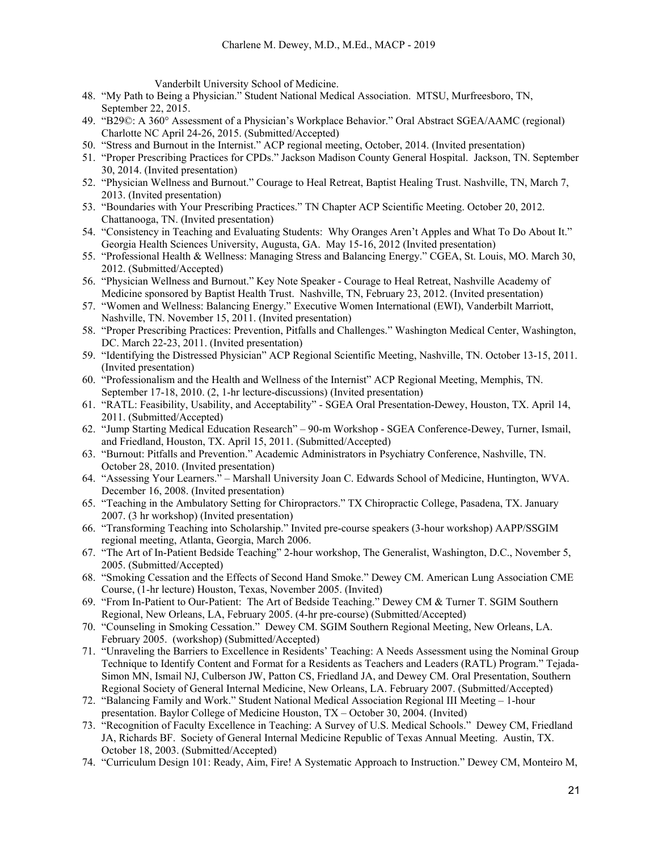Vanderbilt University School of Medicine.

- 48. "My Path to Being a Physician." Student National Medical Association. MTSU, Murfreesboro, TN, September 22, 2015.
- 49. "B29©: A 360° Assessment of a Physician's Workplace Behavior." Oral Abstract SGEA/AAMC (regional) Charlotte NC April 24-26, 2015. (Submitted/Accepted)
- 50. "Stress and Burnout in the Internist." ACP regional meeting, October, 2014. (Invited presentation)
- 51. "Proper Prescribing Practices for CPDs." Jackson Madison County General Hospital. Jackson, TN. September 30, 2014. (Invited presentation)
- 52. "Physician Wellness and Burnout." Courage to Heal Retreat, Baptist Healing Trust. Nashville, TN, March 7, 2013. (Invited presentation)
- 53. "Boundaries with Your Prescribing Practices." TN Chapter ACP Scientific Meeting. October 20, 2012. Chattanooga, TN. (Invited presentation)
- 54. "Consistency in Teaching and Evaluating Students: Why Oranges Aren't Apples and What To Do About It." Georgia Health Sciences University, Augusta, GA. May 15-16, 2012 (Invited presentation)
- 55. "Professional Health & Wellness: Managing Stress and Balancing Energy." CGEA, St. Louis, MO. March 30, 2012. (Submitted/Accepted)
- 56. "Physician Wellness and Burnout." Key Note Speaker Courage to Heal Retreat, Nashville Academy of Medicine sponsored by Baptist Health Trust. Nashville, TN, February 23, 2012. (Invited presentation)
- 57. "Women and Wellness: Balancing Energy." Executive Women International (EWI), Vanderbilt Marriott, Nashville, TN. November 15, 2011. (Invited presentation)
- 58. "Proper Prescribing Practices: Prevention, Pitfalls and Challenges." Washington Medical Center, Washington, DC. March 22-23, 2011. (Invited presentation)
- 59. "Identifying the Distressed Physician" ACP Regional Scientific Meeting, Nashville, TN. October 13-15, 2011. (Invited presentation)
- 60. "Professionalism and the Health and Wellness of the Internist" ACP Regional Meeting, Memphis, TN. September 17-18, 2010. (2, 1-hr lecture-discussions) (Invited presentation)
- 61. "RATL: Feasibility, Usability, and Acceptability" SGEA Oral Presentation-Dewey, Houston, TX. April 14, 2011. (Submitted/Accepted)
- 62. "Jump Starting Medical Education Research" 90-m Workshop SGEA Conference-Dewey, Turner, Ismail, and Friedland, Houston, TX. April 15, 2011. (Submitted/Accepted)
- 63. "Burnout: Pitfalls and Prevention." Academic Administrators in Psychiatry Conference, Nashville, TN. October 28, 2010. (Invited presentation)
- 64. "Assessing Your Learners." Marshall University Joan C. Edwards School of Medicine, Huntington, WVA. December 16, 2008. (Invited presentation)
- 65. "Teaching in the Ambulatory Setting for Chiropractors." TX Chiropractic College, Pasadena, TX. January 2007. (3 hr workshop) (Invited presentation)
- 66. "Transforming Teaching into Scholarship." Invited pre-course speakers (3-hour workshop) AAPP/SSGIM regional meeting, Atlanta, Georgia, March 2006.
- 67. "The Art of In-Patient Bedside Teaching" 2-hour workshop, The Generalist, Washington, D.C., November 5, 2005. (Submitted/Accepted)
- 68. "Smoking Cessation and the Effects of Second Hand Smoke." Dewey CM. American Lung Association CME Course, (1-hr lecture) Houston, Texas, November 2005. (Invited)
- 69. "From In-Patient to Our-Patient: The Art of Bedside Teaching." Dewey CM & Turner T. SGIM Southern Regional, New Orleans, LA, February 2005. (4-hr pre-course) (Submitted/Accepted)
- 70. "Counseling in Smoking Cessation." Dewey CM. SGIM Southern Regional Meeting, New Orleans, LA. February 2005. (workshop) (Submitted/Accepted)
- 71. "Unraveling the Barriers to Excellence in Residents' Teaching: A Needs Assessment using the Nominal Group Technique to Identify Content and Format for a Residents as Teachers and Leaders (RATL) Program." Tejada-Simon MN, Ismail NJ, Culberson JW, Patton CS, Friedland JA, and Dewey CM. Oral Presentation, Southern Regional Society of General Internal Medicine, New Orleans, LA. February 2007. (Submitted/Accepted)
- 72. "Balancing Family and Work." Student National Medical Association Regional III Meeting 1-hour presentation. Baylor College of Medicine Houston, TX – October 30, 2004. (Invited)
- 73. "Recognition of Faculty Excellence in Teaching: A Survey of U.S. Medical Schools." Dewey CM, Friedland JA, Richards BF. Society of General Internal Medicine Republic of Texas Annual Meeting. Austin, TX. October 18, 2003. (Submitted/Accepted)
- 74. "Curriculum Design 101: Ready, Aim, Fire! A Systematic Approach to Instruction." Dewey CM, Monteiro M,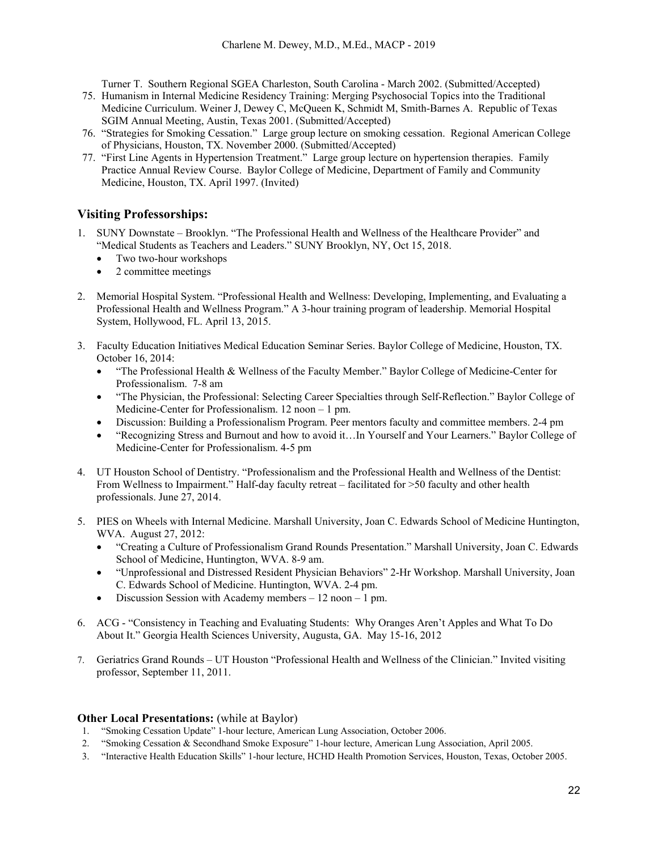Turner T. Southern Regional SGEA Charleston, South Carolina - March 2002. (Submitted/Accepted)

- 75. Humanism in Internal Medicine Residency Training: Merging Psychosocial Topics into the Traditional Medicine Curriculum. Weiner J, Dewey C, McQueen K, Schmidt M, Smith-Barnes A. Republic of Texas SGIM Annual Meeting, Austin, Texas 2001. (Submitted/Accepted)
- 76. "Strategies for Smoking Cessation." Large group lecture on smoking cessation. Regional American College of Physicians, Houston, TX. November 2000. (Submitted/Accepted)
- 77. "First Line Agents in Hypertension Treatment." Large group lecture on hypertension therapies. Family Practice Annual Review Course. Baylor College of Medicine, Department of Family and Community Medicine, Houston, TX. April 1997. (Invited)

## **Visiting Professorships:**

- 1. SUNY Downstate Brooklyn. "The Professional Health and Wellness of the Healthcare Provider" and "Medical Students as Teachers and Leaders." SUNY Brooklyn, NY, Oct 15, 2018.
	- Two two-hour workshops
	- 2 committee meetings
- 2. Memorial Hospital System. "Professional Health and Wellness: Developing, Implementing, and Evaluating a Professional Health and Wellness Program." A 3-hour training program of leadership. Memorial Hospital System, Hollywood, FL. April 13, 2015.
- 3. Faculty Education Initiatives Medical Education Seminar Series. Baylor College of Medicine, Houston, TX. October 16, 2014:
	- "The Professional Health & Wellness of the Faculty Member." Baylor College of Medicine-Center for Professionalism. 7-8 am
	- "The Physician, the Professional: Selecting Career Specialties through Self-Reflection." Baylor College of Medicine-Center for Professionalism. 12 noon – 1 pm.
	- Discussion: Building a Professionalism Program. Peer mentors faculty and committee members. 2-4 pm
	- "Recognizing Stress and Burnout and how to avoid it…In Yourself and Your Learners." Baylor College of Medicine-Center for Professionalism. 4-5 pm
- 4. UT Houston School of Dentistry. "Professionalism and the Professional Health and Wellness of the Dentist: From Wellness to Impairment." Half-day faculty retreat – facilitated for >50 faculty and other health professionals. June 27, 2014.
- 5. PIES on Wheels with Internal Medicine. Marshall University, Joan C. Edwards School of Medicine Huntington, WVA. August 27, 2012:
	- "Creating a Culture of Professionalism Grand Rounds Presentation." Marshall University, Joan C. Edwards School of Medicine, Huntington, WVA. 8-9 am.
	- "Unprofessional and Distressed Resident Physician Behaviors" 2-Hr Workshop. Marshall University, Joan C. Edwards School of Medicine. Huntington, WVA. 2-4 pm.
	- Discussion Session with Academy members 12 noon 1 pm.
- 6. ACG "Consistency in Teaching and Evaluating Students: Why Oranges Aren't Apples and What To Do About It." Georgia Health Sciences University, Augusta, GA. May 15-16, 2012
- 7. Geriatrics Grand Rounds UT Houston "Professional Health and Wellness of the Clinician." Invited visiting professor, September 11, 2011.

## **Other Local Presentations:** (while at Baylor)

- 1. "Smoking Cessation Update" 1-hour lecture, American Lung Association, October 2006.
- 2. "Smoking Cessation & Secondhand Smoke Exposure" 1-hour lecture, American Lung Association, April 2005.
- 3. "Interactive Health Education Skills" 1-hour lecture, HCHD Health Promotion Services, Houston, Texas, October 2005.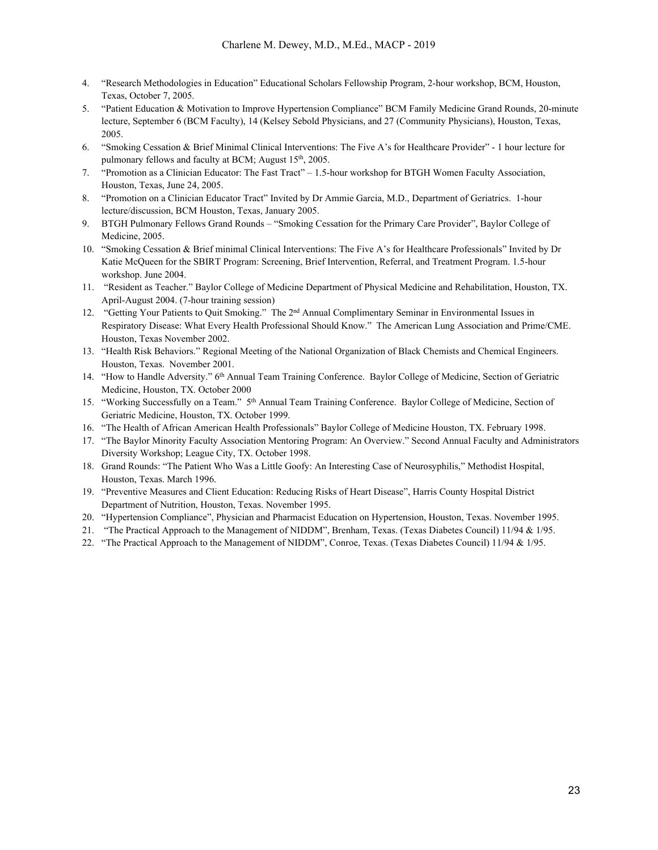- 4. "Research Methodologies in Education" Educational Scholars Fellowship Program, 2-hour workshop, BCM, Houston, Texas, October 7, 2005.
- 5. "Patient Education & Motivation to Improve Hypertension Compliance" BCM Family Medicine Grand Rounds, 20-minute lecture, September 6 (BCM Faculty), 14 (Kelsey Sebold Physicians, and 27 (Community Physicians), Houston, Texas, 2005.
- 6. "Smoking Cessation & Brief Minimal Clinical Interventions: The Five A's for Healthcare Provider" 1 hour lecture for pulmonary fellows and faculty at BCM; August 15<sup>th</sup>, 2005.
- 7. "Promotion as a Clinician Educator: The Fast Tract" 1.5-hour workshop for BTGH Women Faculty Association, Houston, Texas, June 24, 2005.
- 8. "Promotion on a Clinician Educator Tract" Invited by Dr Ammie Garcia, M.D., Department of Geriatrics. 1-hour lecture/discussion, BCM Houston, Texas, January 2005.
- 9. BTGH Pulmonary Fellows Grand Rounds "Smoking Cessation for the Primary Care Provider", Baylor College of Medicine, 2005.
- 10. "Smoking Cessation & Brief minimal Clinical Interventions: The Five A's for Healthcare Professionals" Invited by Dr Katie McQueen for the SBIRT Program: Screening, Brief Intervention, Referral, and Treatment Program. 1.5-hour workshop. June 2004.
- 11. "Resident as Teacher." Baylor College of Medicine Department of Physical Medicine and Rehabilitation, Houston, TX. April-August 2004. (7-hour training session)
- 12. "Getting Your Patients to Quit Smoking." The 2nd Annual Complimentary Seminar in Environmental Issues in Respiratory Disease: What Every Health Professional Should Know." The American Lung Association and Prime/CME. Houston, Texas November 2002.
- 13. "Health Risk Behaviors." Regional Meeting of the National Organization of Black Chemists and Chemical Engineers. Houston, Texas. November 2001.
- 14. "How to Handle Adversity." 6<sup>th</sup> Annual Team Training Conference. Baylor College of Medicine, Section of Geriatric Medicine, Houston, TX. October 2000
- 15. "Working Successfully on a Team." 5<sup>th</sup> Annual Team Training Conference. Baylor College of Medicine, Section of Geriatric Medicine, Houston, TX. October 1999.
- 16. "The Health of African American Health Professionals" Baylor College of Medicine Houston, TX. February 1998.
- 17. "The Baylor Minority Faculty Association Mentoring Program: An Overview." Second Annual Faculty and Administrators Diversity Workshop; League City, TX. October 1998.
- 18. Grand Rounds: "The Patient Who Was a Little Goofy: An Interesting Case of Neurosyphilis," Methodist Hospital, Houston, Texas. March 1996.
- 19. "Preventive Measures and Client Education: Reducing Risks of Heart Disease", Harris County Hospital District Department of Nutrition, Houston, Texas. November 1995.
- 20. "Hypertension Compliance", Physician and Pharmacist Education on Hypertension, Houston, Texas. November 1995.
- 21. "The Practical Approach to the Management of NIDDM", Brenham, Texas. (Texas Diabetes Council) 11/94 & 1/95.
- 22. "The Practical Approach to the Management of NIDDM", Conroe, Texas. (Texas Diabetes Council) 11/94 & 1/95.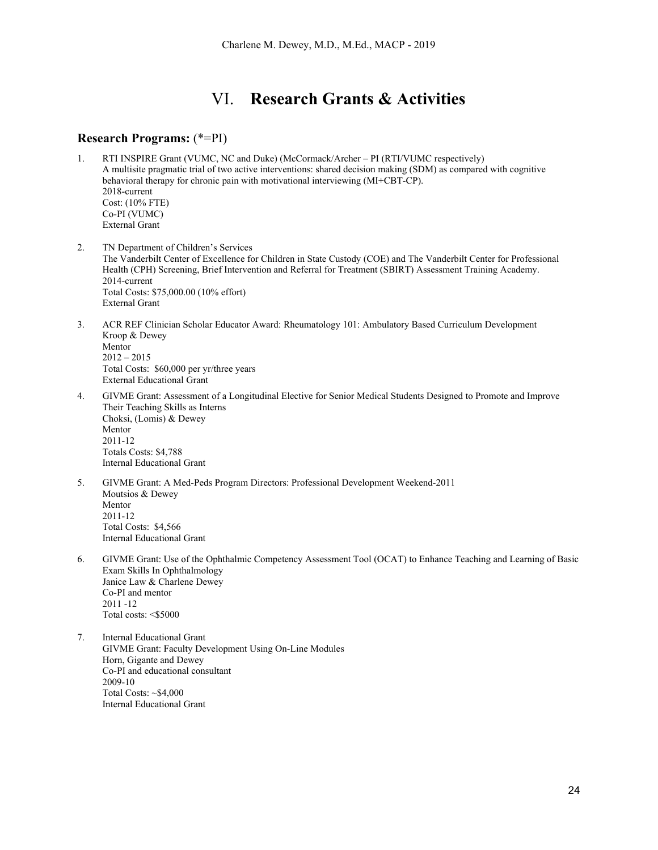## VI. **Research Grants & Activities**

## **Research Programs:** (\*=PI)

- 1. RTI INSPIRE Grant (VUMC, NC and Duke) (McCormack/Archer PI (RTI/VUMC respectively) A multisite pragmatic trial of two active interventions: shared decision making (SDM) as compared with cognitive behavioral therapy for chronic pain with motivational interviewing (MI+CBT-CP). 2018-current Cost: (10% FTE) Co-PI (VUMC) External Grant
- 2. TN Department of Children's Services The Vanderbilt Center of Excellence for Children in State Custody (COE) and The Vanderbilt Center for Professional Health (CPH) Screening, Brief Intervention and Referral for Treatment (SBIRT) Assessment Training Academy. 2014-current Total Costs: \$75,000.00 (10% effort) External Grant
- 3. ACR REF Clinician Scholar Educator Award: Rheumatology 101: Ambulatory Based Curriculum Development Kroop & Dewey Mentor  $2012 - 2015$ Total Costs: \$60,000 per yr/three years External Educational Grant
- 4. GIVME Grant: Assessment of a Longitudinal Elective for Senior Medical Students Designed to Promote and Improve Their Teaching Skills as Interns Choksi, (Lomis) & Dewey Mentor 2011-12 Totals Costs: \$4,788 Internal Educational Grant
- 5. GIVME Grant: A Med-Peds Program Directors: Professional Development Weekend-2011 Moutsios & Dewey Mentor 2011-12 Total Costs: \$4,566 Internal Educational Grant
- 6. GIVME Grant: Use of the Ophthalmic Competency Assessment Tool (OCAT) to Enhance Teaching and Learning of Basic Exam Skills In Ophthalmology Janice Law & Charlene Dewey Co-PI and mentor 2011 -12 Total costs: <\$5000
- 7. Internal Educational Grant GIVME Grant: Faculty Development Using On-Line Modules Horn, Gigante and Dewey Co-PI and educational consultant 2009-10 Total Costs: ~\$4,000 Internal Educational Grant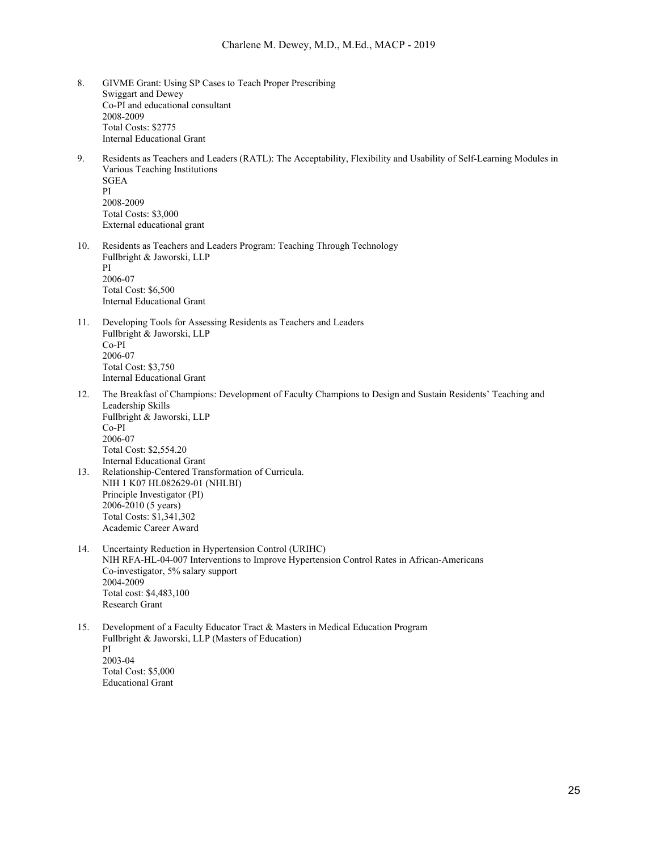- 8. GIVME Grant: Using SP Cases to Teach Proper Prescribing Swiggart and Dewey Co-PI and educational consultant 2008-2009 Total Costs: \$2775 Internal Educational Grant
- 9. Residents as Teachers and Leaders (RATL): The Acceptability, Flexibility and Usability of Self-Learning Modules in Various Teaching Institutions SGEA PI 2008-2009 Total Costs: \$3,000 External educational grant
- 10. Residents as Teachers and Leaders Program: Teaching Through Technology Fullbright & Jaworski, LLP PI 2006-07 Total Cost: \$6,500 Internal Educational Grant
- 11. Developing Tools for Assessing Residents as Teachers and Leaders Fullbright & Jaworski, LLP Co-PI 2006-07 Total Cost: \$3,750 Internal Educational Grant
- 12. The Breakfast of Champions: Development of Faculty Champions to Design and Sustain Residents' Teaching and Leadership Skills Fullbright & Jaworski, LLP Co-PI 2006-07 Total Cost: \$2,554.20 Internal Educational Grant
- 13. Relationship-Centered Transformation of Curricula. NIH 1 K07 HL082629-01 (NHLBI) Principle Investigator (PI) 2006-2010 (5 years) Total Costs: \$1,341,302 Academic Career Award
- 14. Uncertainty Reduction in Hypertension Control (URIHC) NIH RFA-HL-04-007 Interventions to Improve Hypertension Control Rates in African-Americans Co-investigator, 5% salary support 2004-2009 Total cost: \$4,483,100 Research Grant
- 15. Development of a Faculty Educator Tract & Masters in Medical Education Program Fullbright & Jaworski, LLP (Masters of Education) PI 2003-04 Total Cost: \$5,000 Educational Grant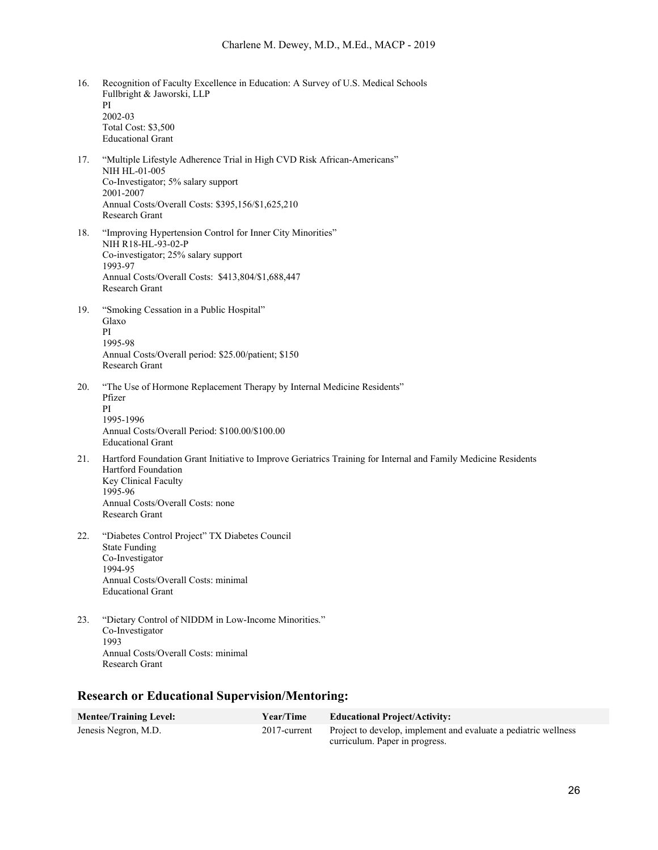- 16. Recognition of Faculty Excellence in Education: A Survey of U.S. Medical Schools Fullbright & Jaworski, LLP PI 2002-03 Total Cost: \$3,500 Educational Grant
- 17. "Multiple Lifestyle Adherence Trial in High CVD Risk African-Americans" NIH HL-01-005 Co-Investigator; 5% salary support 2001-2007 Annual Costs/Overall Costs: \$395,156/\$1,625,210 Research Grant
- 18. "Improving Hypertension Control for Inner City Minorities" NIH R18-HL-93-02-P Co-investigator; 25% salary support 1993-97 Annual Costs/Overall Costs: \$413,804/\$1,688,447 Research Grant
- 19. "Smoking Cessation in a Public Hospital" Glaxo PI 1995-98 Annual Costs/Overall period: \$25.00/patient; \$150 Research Grant
- 20. "The Use of Hormone Replacement Therapy by Internal Medicine Residents" Pfizer PI 1995-1996 Annual Costs/Overall Period: \$100.00/\$100.00 Educational Grant
- 21. Hartford Foundation Grant Initiative to Improve Geriatrics Training for Internal and Family Medicine Residents Hartford Foundation Key Clinical Faculty 1995-96 Annual Costs/Overall Costs: none Research Grant
- 22. "Diabetes Control Project" TX Diabetes Council State Funding Co-Investigator 1994-95 Annual Costs/Overall Costs: minimal Educational Grant
- 23. "Dietary Control of NIDDM in Low-Income Minorities." Co-Investigator 1993 Annual Costs/Overall Costs: minimal Research Grant

## **Research or Educational Supervision/Mentoring:**

| <b>Mentee/Training Level:</b> | <b>Year/Time</b> | <b>Educational Project/Activity:</b>                                                              |
|-------------------------------|------------------|---------------------------------------------------------------------------------------------------|
| Jenesis Negron, M.D.          | $2017$ -current  | Project to develop, implement and evaluate a pediatric wellness<br>curriculum. Paper in progress. |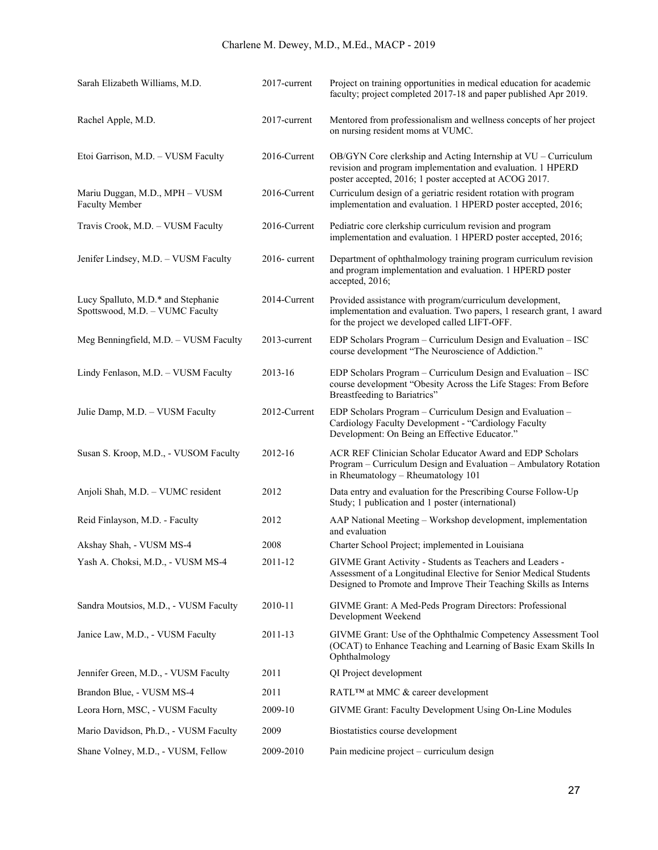| Sarah Elizabeth Williams, M.D.                                        | 2017-current     | Project on training opportunities in medical education for academic<br>faculty; project completed 2017-18 and paper published Apr 2019.                                                            |
|-----------------------------------------------------------------------|------------------|----------------------------------------------------------------------------------------------------------------------------------------------------------------------------------------------------|
| Rachel Apple, M.D.                                                    | 2017-current     | Mentored from professionalism and wellness concepts of her project<br>on nursing resident moms at VUMC.                                                                                            |
| Etoi Garrison, M.D. - VUSM Faculty                                    | 2016-Current     | OB/GYN Core clerkship and Acting Internship at VU - Curriculum<br>revision and program implementation and evaluation. 1 HPERD<br>poster accepted, 2016; 1 poster accepted at ACOG 2017.            |
| Mariu Duggan, M.D., MPH - VUSM<br><b>Faculty Member</b>               | 2016-Current     | Curriculum design of a geriatric resident rotation with program<br>implementation and evaluation. 1 HPERD poster accepted, 2016;                                                                   |
| Travis Crook, M.D. - VUSM Faculty                                     | 2016-Current     | Pediatric core clerkship curriculum revision and program<br>implementation and evaluation. 1 HPERD poster accepted, 2016;                                                                          |
| Jenifer Lindsey, M.D. - VUSM Faculty                                  | $2016$ - current | Department of ophthalmology training program curriculum revision<br>and program implementation and evaluation. 1 HPERD poster<br>accepted, 2016;                                                   |
| Lucy Spalluto, M.D.* and Stephanie<br>Spottswood, M.D. - VUMC Faculty | 2014-Current     | Provided assistance with program/curriculum development,<br>implementation and evaluation. Two papers, 1 research grant, 1 award<br>for the project we developed called LIFT-OFF.                  |
| Meg Benningfield, M.D. - VUSM Faculty                                 | 2013-current     | EDP Scholars Program - Curriculum Design and Evaluation - ISC<br>course development "The Neuroscience of Addiction."                                                                               |
| Lindy Fenlason, M.D. - VUSM Faculty                                   | 2013-16          | EDP Scholars Program - Curriculum Design and Evaluation - ISC<br>course development "Obesity Across the Life Stages: From Before<br>Breastfeeding to Bariatrics"                                   |
| Julie Damp, M.D. - VUSM Faculty                                       | 2012-Current     | EDP Scholars Program - Curriculum Design and Evaluation -<br>Cardiology Faculty Development - "Cardiology Faculty<br>Development: On Being an Effective Educator."                                 |
| Susan S. Kroop, M.D., - VUSOM Faculty                                 | 2012-16          | ACR REF Clinician Scholar Educator Award and EDP Scholars<br>Program - Curriculum Design and Evaluation - Ambulatory Rotation<br>in Rheumatology - Rheumatology 101                                |
| Anjoli Shah, M.D. - VUMC resident                                     | 2012             | Data entry and evaluation for the Prescribing Course Follow-Up<br>Study; 1 publication and 1 poster (international)                                                                                |
| Reid Finlayson, M.D. - Faculty                                        | 2012             | AAP National Meeting - Workshop development, implementation<br>and evaluation                                                                                                                      |
| Akshay Shah, - VUSM MS-4                                              | 2008             | Charter School Project; implemented in Louisiana                                                                                                                                                   |
| Yash A. Choksi, M.D., - VUSM MS-4                                     | 2011-12          | GIVME Grant Activity - Students as Teachers and Leaders -<br>Assessment of a Longitudinal Elective for Senior Medical Students<br>Designed to Promote and Improve Their Teaching Skills as Interns |
| Sandra Moutsios, M.D., - VUSM Faculty                                 | 2010-11          | GIVME Grant: A Med-Peds Program Directors: Professional<br>Development Weekend                                                                                                                     |
| Janice Law, M.D., - VUSM Faculty                                      | 2011-13          | GIVME Grant: Use of the Ophthalmic Competency Assessment Tool<br>(OCAT) to Enhance Teaching and Learning of Basic Exam Skills In<br>Ophthalmology                                                  |
| Jennifer Green, M.D., - VUSM Faculty                                  | 2011             | QI Project development                                                                                                                                                                             |
| Brandon Blue, - VUSM MS-4                                             | 2011             | RATL™ at MMC & career development                                                                                                                                                                  |
| Leora Horn, MSC, - VUSM Faculty                                       | 2009-10          | GIVME Grant: Faculty Development Using On-Line Modules                                                                                                                                             |
| Mario Davidson, Ph.D., - VUSM Faculty                                 | 2009             | Biostatistics course development                                                                                                                                                                   |
| Shane Volney, M.D., - VUSM, Fellow                                    | 2009-2010        | Pain medicine project – curriculum design                                                                                                                                                          |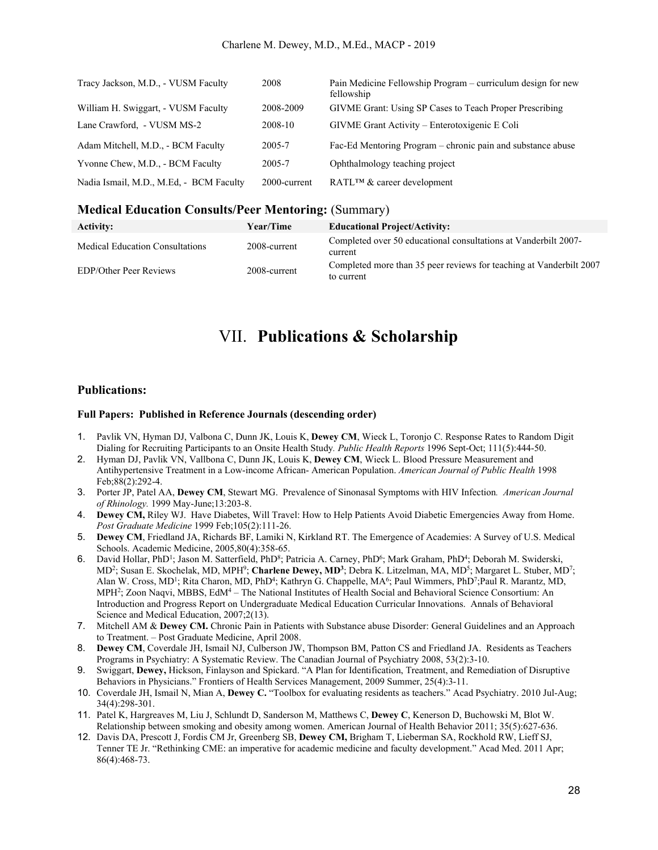| Tracy Jackson, M.D., - VUSM Faculty     | 2008         | Pain Medicine Fellowship Program – curriculum design for new<br>fellowship |
|-----------------------------------------|--------------|----------------------------------------------------------------------------|
| William H. Swiggart, - VUSM Faculty     | 2008-2009    | GIVME Grant: Using SP Cases to Teach Proper Prescribing                    |
| Lane Crawford, - VUSM MS-2              | 2008-10      | GIVME Grant Activity – Enterotoxigenic E Coli                              |
| Adam Mitchell, M.D., - BCM Faculty      | 2005-7       | Fac-Ed Mentoring Program – chronic pain and substance abuse                |
| Yvonne Chew, M.D., - BCM Faculty        | 2005-7       | Ophthalmology teaching project                                             |
| Nadia Ismail, M.D., M.Ed. - BCM Faculty | 2000-current | RATL <sup>TM</sup> & career development                                    |

#### **Medical Education Consults/Peer Mentoring:** (Summary)

| Activity:                              | <b>Year/Time</b> | <b>Educational Project/Activity:</b>                                              |
|----------------------------------------|------------------|-----------------------------------------------------------------------------------|
| <b>Medical Education Consultations</b> | 2008-current     | Completed over 50 educational consultations at Vanderbilt 2007-<br>current        |
| <b>EDP/Other Peer Reviews</b>          | 2008-current     | Completed more than 35 peer reviews for teaching at Vanderbilt 2007<br>to current |

## VII. **Publications & Scholarship**

#### **Publications:**

#### **Full Papers: Published in Reference Journals (descending order)**

- 1. Pavlik VN, Hyman DJ, Valbona C, Dunn JK, Louis K, **Dewey CM**, Wieck L, Toronjo C. Response Rates to Random Digit Dialing for Recruiting Participants to an Onsite Health Study*. Public Health Reports* 1996 Sept-Oct; 111(5):444-50.
- 2. Hyman DJ, Pavlik VN, Vallbona C, Dunn JK, Louis K, **Dewey CM**, Wieck L. Blood Pressure Measurement and Antihypertensive Treatment in a Low-income African- American Population. *American Journal of Public Health* 1998 Feb;88(2):292-4.
- 3. Porter JP, Patel AA, **Dewey CM**, Stewart MG. Prevalence of Sinonasal Symptoms with HIV Infection*. American Journal of Rhinology.* 1999 May-June;13:203-8.
- 4. **Dewey CM,** Riley WJ. Have Diabetes, Will Travel: How to Help Patients Avoid Diabetic Emergencies Away from Home. *Post Graduate Medicine* 1999 Feb;105(2):111-26.
- 5. **Dewey CM**, Friedland JA, Richards BF, Lamiki N, Kirkland RT. The Emergence of Academies: A Survey of U.S. Medical Schools. Academic Medicine, 2005,80(4):358-65.
- 6. David Hollar, PhD<sup>1</sup>; Jason M. Satterfield, PhD<sup>8</sup>; Patricia A. Carney, PhD<sup>6</sup>; Mark Graham, PhD<sup>4</sup>; Deborah M. Swiderski, MD<sup>2</sup>; Susan E. Skochelak, MD, MPH<sup>9</sup>; Charlene Dewey, MD<sup>3</sup>; Debra K. Litzelman, MA, MD<sup>5</sup>; Margaret L. Stuber, MD<sup>7</sup>; Alan W. Cross, MD1; Rita Charon, MD, PhD4; Kathryn G. Chappelle, MA6; Paul Wimmers, PhD7;Paul R. Marantz, MD, MPH<sup>2</sup>; Zoon Naqvi, MBBS, EdM<sup>4</sup> – The National Institutes of Health Social and Behavioral Science Consortium: An Introduction and Progress Report on Undergraduate Medical Education Curricular Innovations. Annals of Behavioral Science and Medical Education, 2007;2(13).
- 7. Mitchell AM & **Dewey CM.** Chronic Pain in Patients with Substance abuse Disorder: General Guidelines and an Approach to Treatment. – Post Graduate Medicine, April 2008.
- 8. **Dewey CM**, Coverdale JH, Ismail NJ, Culberson JW, Thompson BM, Patton CS and Friedland JA. Residents as Teachers Programs in Psychiatry: A Systematic Review. The Canadian Journal of Psychiatry 2008, 53(2):3-10.
- 9. Swiggart, **Dewey,** Hickson, Finlayson and Spickard. "A Plan for Identification, Treatment, and Remediation of Disruptive Behaviors in Physicians." Frontiers of Health Services Management, 2009 Summer, 25(4):3-11.
- 10. Coverdale JH, Ismail N, Mian A, **Dewey C.** "Toolbox for evaluating residents as teachers." Acad Psychiatry. 2010 Jul-Aug; 34(4):298-301.
- 11. Patel K, Hargreaves M, Liu J, Schlundt D, Sanderson M, Matthews C, **Dewey C**, Kenerson D, Buchowski M, Blot W. Relationship between smoking and obesity among women. American Journal of Health Behavior 2011; 35(5):627-636.
- 12. Davis DA, Prescott J, Fordis CM Jr, Greenberg SB, **Dewey CM,** Brigham T, Lieberman SA, Rockhold RW, Lieff SJ, Tenner TE Jr. "Rethinking CME: an imperative for academic medicine and faculty development." Acad Med. 2011 Apr; 86(4):468-73.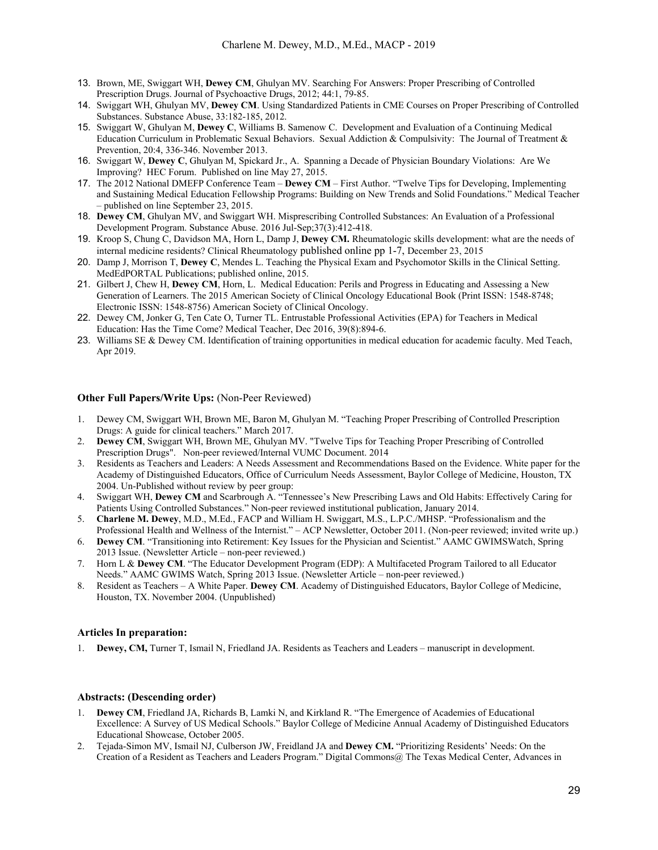- 13. Brown, ME, Swiggart WH, **Dewey CM**, Ghulyan MV. Searching For Answers: Proper Prescribing of Controlled Prescription Drugs. Journal of Psychoactive Drugs, 2012; 44:1, 79-85.
- 14. Swiggart WH, Ghulyan MV, **Dewey CM**. Using Standardized Patients in CME Courses on Proper Prescribing of Controlled Substances. Substance Abuse, 33:182-185, 2012.
- 15. Swiggart W, Ghulyan M, **Dewey C**, Williams B. Samenow C. Development and Evaluation of a Continuing Medical Education Curriculum in Problematic Sexual Behaviors. Sexual Addiction & Compulsivity: The Journal of Treatment & Prevention, 20:4, 336-346. November 2013.
- 16. Swiggart W, **Dewey C**, Ghulyan M, Spickard Jr., A. Spanning a Decade of Physician Boundary Violations: Are We Improving? HEC Forum. Published on line May 27, 2015.
- 17. The 2012 National DMEFP Conference Team **Dewey CM** First Author. "Twelve Tips for Developing, Implementing and Sustaining Medical Education Fellowship Programs: Building on New Trends and Solid Foundations." Medical Teacher – published on line September 23, 2015.
- 18. **Dewey CM**, Ghulyan MV, and Swiggart WH. Misprescribing Controlled Substances: An Evaluation of a Professional Development Program. Substance Abuse. 2016 Jul-Sep;37(3):412-418.
- 19. Kroop S, Chung C, Davidson MA, Horn L, Damp J, **Dewey CM.** Rheumatologic skills development: what are the needs of internal medicine residents? Clinical Rheumatology published online pp 1-7, December 23, 2015
- 20. Damp J, Morrison T, **Dewey C**, Mendes L. Teaching the Physical Exam and Psychomotor Skills in the Clinical Setting. MedEdPORTAL Publications; published online, 2015.
- 21. Gilbert J, Chew H, **Dewey CM**, Horn, L. Medical Education: Perils and Progress in Educating and Assessing a New Generation of Learners. The 2015 American Society of Clinical Oncology Educational Book (Print ISSN: 1548-8748; Electronic ISSN: 1548-8756) American Society of Clinical Oncology.
- 22. Dewey CM, Jonker G, Ten Cate O, Turner TL. Entrustable Professional Activities (EPA) for Teachers in Medical Education: Has the Time Come? Medical Teacher, Dec 2016, 39(8):894-6.
- 23. Williams SE & Dewey CM. Identification of training opportunities in medical education for academic faculty. Med Teach, Apr 2019.

#### **Other Full Papers/Write Ups:** (Non-Peer Reviewed)

- 1. Dewey CM, Swiggart WH, Brown ME, Baron M, Ghulyan M. "Teaching Proper Prescribing of Controlled Prescription Drugs: A guide for clinical teachers." March 2017.
- 2. **Dewey CM**, Swiggart WH, Brown ME, Ghulyan MV. "Twelve Tips for Teaching Proper Prescribing of Controlled Prescription Drugs". Non-peer reviewed/Internal VUMC Document. 2014
- 3. Residents as Teachers and Leaders: A Needs Assessment and Recommendations Based on the Evidence. White paper for the Academy of Distinguished Educators, Office of Curriculum Needs Assessment, Baylor College of Medicine, Houston, TX 2004. Un-Published without review by peer group:
- 4. Swiggart WH, **Dewey CM** and Scarbrough A. "Tennessee's New Prescribing Laws and Old Habits: Effectively Caring for Patients Using Controlled Substances." Non-peer reviewed institutional publication, January 2014.
- 5. **Charlene M. Dewey**, M.D., M.Ed., FACP and William H. Swiggart, M.S., L.P.C./MHSP. "Professionalism and the Professional Health and Wellness of the Internist." – ACP Newsletter, October 2011. (Non-peer reviewed; invited write up.)
- 6. **Dewey CM**. "Transitioning into Retirement: Key Issues for the Physician and Scientist." AAMC GWIMSWatch, Spring 2013 Issue. (Newsletter Article – non-peer reviewed.)
- 7. Horn L & **Dewey CM**. "The Educator Development Program (EDP): A Multifaceted Program Tailored to all Educator Needs." AAMC GWIMS Watch, Spring 2013 Issue. (Newsletter Article – non-peer reviewed.)
- 8. Resident as Teachers A White Paper. **Dewey CM**. Academy of Distinguished Educators, Baylor College of Medicine, Houston, TX. November 2004. (Unpublished)

#### **Articles In preparation:**

1. **Dewey, CM,** Turner T, Ismail N, Friedland JA. Residents as Teachers and Leaders – manuscript in development.

#### **Abstracts: (Descending order)**

- 1. **Dewey CM**, Friedland JA, Richards B, Lamki N, and Kirkland R. "The Emergence of Academies of Educational Excellence: A Survey of US Medical Schools." Baylor College of Medicine Annual Academy of Distinguished Educators Educational Showcase, October 2005.
- 2. Tejada-Simon MV, Ismail NJ, Culberson JW, Freidland JA and **Dewey CM.** "Prioritizing Residents' Needs: On the Creation of a Resident as Teachers and Leaders Program." Digital Commons@ The Texas Medical Center, Advances in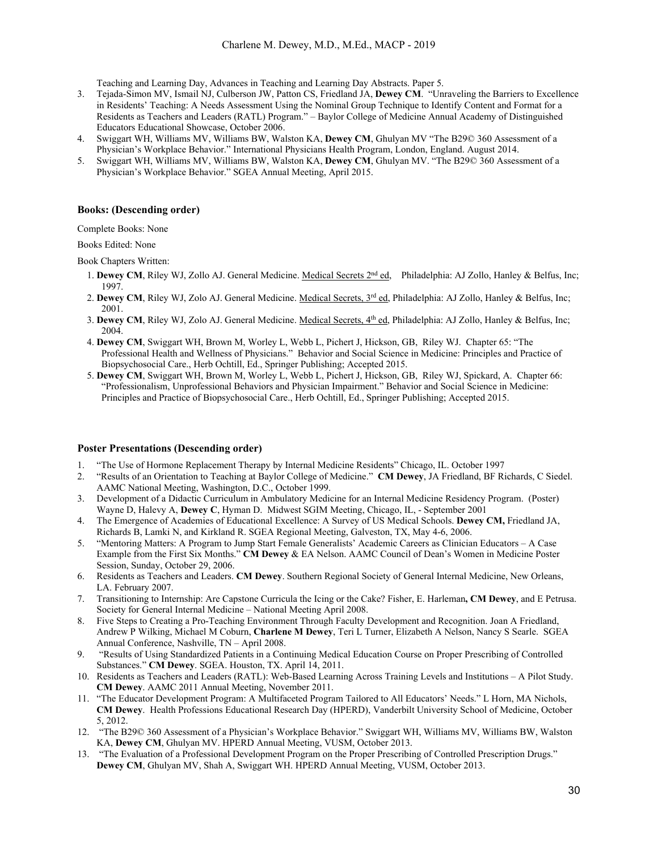Teaching and Learning Day, Advances in Teaching and Learning Day Abstracts. Paper 5.

- 3. Tejada-Simon MV, Ismail NJ, Culberson JW, Patton CS, Friedland JA, **Dewey CM**. "Unraveling the Barriers to Excellence in Residents' Teaching: A Needs Assessment Using the Nominal Group Technique to Identify Content and Format for a Residents as Teachers and Leaders (RATL) Program." – Baylor College of Medicine Annual Academy of Distinguished Educators Educational Showcase, October 2006.
- 4. Swiggart WH, Williams MV, Williams BW, Walston KA, **Dewey CM**, Ghulyan MV "The B29© 360 Assessment of a Physician's Workplace Behavior." International Physicians Health Program, London, England. August 2014.
- 5. Swiggart WH, Williams MV, Williams BW, Walston KA, **Dewey CM**, Ghulyan MV. "The B29© 360 Assessment of a Physician's Workplace Behavior." SGEA Annual Meeting, April 2015.

#### **Books: (Descending order)**

Complete Books: None

Books Edited: None

Book Chapters Written:

- 1. **Dewey CM**, Riley WJ, Zollo AJ. General Medicine. Medical Secrets 2nd ed, Philadelphia: AJ Zollo, Hanley & Belfus, Inc; 1997.
- 2. Dewey CM, Riley WJ, Zolo AJ. General Medicine. Medical Secrets, 3<sup>rd</sup> ed, Philadelphia: AJ Zollo, Hanley & Belfus, Inc; 2001.
- 3. **Dewey CM**, Riley WJ, Zolo AJ. General Medicine. Medical Secrets, 4th ed, Philadelphia: AJ Zollo, Hanley & Belfus, Inc; 2004.
- 4. **Dewey CM**, Swiggart WH, Brown M, Worley L, Webb L, Pichert J, Hickson, GB, Riley WJ. Chapter 65: "The Professional Health and Wellness of Physicians." Behavior and Social Science in Medicine: Principles and Practice of Biopsychosocial Care., Herb Ochtill, Ed., Springer Publishing; Accepted 2015.
- 5. **Dewey CM**, Swiggart WH, Brown M, Worley L, Webb L, Pichert J, Hickson, GB, Riley WJ, Spickard, A. Chapter 66: "Professionalism, Unprofessional Behaviors and Physician Impairment." Behavior and Social Science in Medicine: Principles and Practice of Biopsychosocial Care., Herb Ochtill, Ed., Springer Publishing; Accepted 2015.

### **Poster Presentations (Descending order)**

- 1. "The Use of Hormone Replacement Therapy by Internal Medicine Residents" Chicago, IL. October 1997
- 2. "Results of an Orientation to Teaching at Baylor College of Medicine." **CM Dewey**, JA Friedland, BF Richards, C Siedel. AAMC National Meeting, Washington, D.C., October 1999.
- 3. Development of a Didactic Curriculum in Ambulatory Medicine for an Internal Medicine Residency Program. (Poster) Wayne D, Halevy A, **Dewey C**, Hyman D. Midwest SGIM Meeting, Chicago, IL, - September 2001
- 4. The Emergence of Academies of Educational Excellence: A Survey of US Medical Schools. **Dewey CM,** Friedland JA, Richards B, Lamki N, and Kirkland R. SGEA Regional Meeting, Galveston, TX, May 4-6, 2006.
- 5. "Mentoring Matters: A Program to Jump Start Female Generalists' Academic Careers as Clinician Educators A Case Example from the First Six Months." **CM Dewey** & EA Nelson. AAMC Council of Dean's Women in Medicine Poster Session, Sunday, October 29, 2006.
- 6. Residents as Teachers and Leaders. **CM Dewey**. Southern Regional Society of General Internal Medicine, New Orleans, LA. February 2007.
- 7. Transitioning to Internship: Are Capstone Curricula the Icing or the Cake? Fisher, E. Harleman**, CM Dewey**, and E Petrusa. Society for General Internal Medicine – National Meeting April 2008.
- 8. Five Steps to Creating a Pro-Teaching Environment Through Faculty Development and Recognition. Joan A Friedland, Andrew P Wilking, Michael M Coburn, **Charlene M Dewey**, Teri L Turner, Elizabeth A Nelson, Nancy S Searle. SGEA Annual Conference, Nashville, TN – April 2008.
- 9. "Results of Using Standardized Patients in a Continuing Medical Education Course on Proper Prescribing of Controlled Substances." **CM Dewey**. SGEA. Houston, TX. April 14, 2011.
- 10. Residents as Teachers and Leaders (RATL): Web-Based Learning Across Training Levels and Institutions A Pilot Study. **CM Dewey**. AAMC 2011 Annual Meeting, November 2011.
- 11. "The Educator Development Program: A Multifaceted Program Tailored to All Educators' Needs." L Horn, MA Nichols, **CM Dewey**. Health Professions Educational Research Day (HPERD), Vanderbilt University School of Medicine, October 5, 2012.
- 12. "The B29© 360 Assessment of a Physician's Workplace Behavior." Swiggart WH, Williams MV, Williams BW, Walston KA, **Dewey CM**, Ghulyan MV. HPERD Annual Meeting, VUSM, October 2013.
- 13. "The Evaluation of a Professional Development Program on the Proper Prescribing of Controlled Prescription Drugs." **Dewey CM**, Ghulyan MV, Shah A, Swiggart WH. HPERD Annual Meeting, VUSM, October 2013.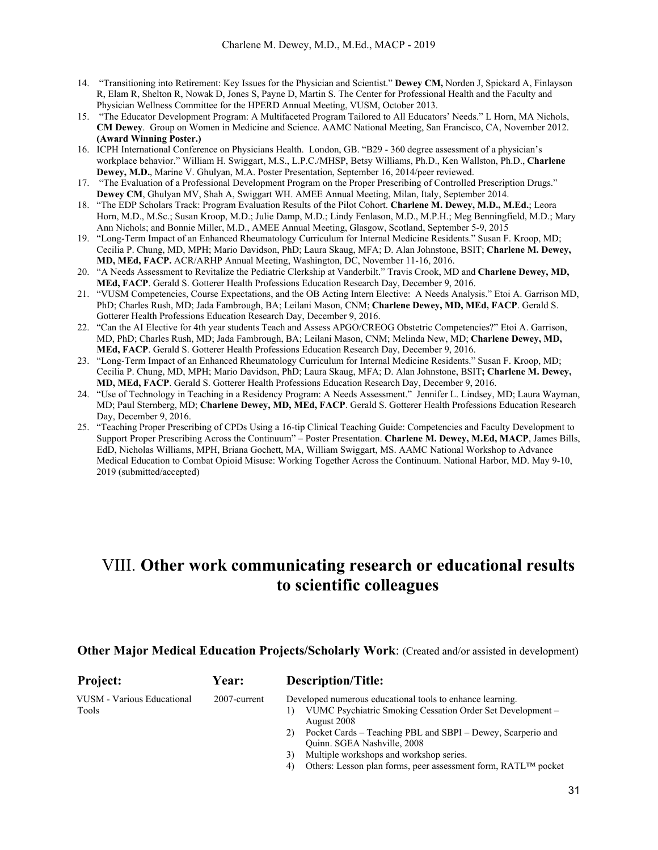- 14. "Transitioning into Retirement: Key Issues for the Physician and Scientist." **Dewey CM,** Norden J, Spickard A, Finlayson R, Elam R, Shelton R, Nowak D, Jones S, Payne D, Martin S. The Center for Professional Health and the Faculty and Physician Wellness Committee for the HPERD Annual Meeting, VUSM, October 2013.
- 15. "The Educator Development Program: A Multifaceted Program Tailored to All Educators' Needs." L Horn, MA Nichols, **CM Dewey**. Group on Women in Medicine and Science. AAMC National Meeting, San Francisco, CA, November 2012. **(Award Winning Poster.)**
- 16. ICPH International Conference on Physicians Health. London, GB. "B29 360 degree assessment of a physician's workplace behavior." William H. Swiggart, M.S., L.P.C./MHSP, Betsy Williams, Ph.D., Ken Wallston, Ph.D., **Charlene Dewey, M.D.**, Marine V. Ghulyan, M.A. Poster Presentation, September 16, 2014/peer reviewed.
- 17. "The Evaluation of a Professional Development Program on the Proper Prescribing of Controlled Prescription Drugs." **Dewey CM**, Ghulyan MV, Shah A, Swiggart WH. AMEE Annual Meeting, Milan, Italy, September 2014.
- 18. "The EDP Scholars Track: Program Evaluation Results of the Pilot Cohort. **Charlene M. Dewey, M.D., M.Ed.**; Leora Horn, M.D., M.Sc.; Susan Kroop, M.D.; Julie Damp, M.D.; Lindy Fenlason, M.D., M.P.H.; Meg Benningfield, M.D.; Mary Ann Nichols; and Bonnie Miller, M.D., AMEE Annual Meeting, Glasgow, Scotland, September 5-9, 2015
- 19. "Long-Term Impact of an Enhanced Rheumatology Curriculum for Internal Medicine Residents." Susan F. Kroop, MD; Cecilia P. Chung, MD, MPH; Mario Davidson, PhD; Laura Skaug, MFA; D. Alan Johnstone, BSIT; **Charlene M. Dewey, MD, MEd, FACP.** ACR/ARHP Annual Meeting, Washington, DC, November 11-16, 2016.
- 20. "A Needs Assessment to Revitalize the Pediatric Clerkship at Vanderbilt." Travis Crook, MD and **Charlene Dewey, MD, MEd, FACP**. Gerald S. Gotterer Health Professions Education Research Day, December 9, 2016.
- 21. "VUSM Competencies, Course Expectations, and the OB Acting Intern Elective: A Needs Analysis." Etoi A. Garrison MD, PhD; Charles Rush, MD; Jada Fambrough, BA; Leilani Mason, CNM; **Charlene Dewey, MD, MEd, FACP**. Gerald S. Gotterer Health Professions Education Research Day, December 9, 2016.
- 22. "Can the AI Elective for 4th year students Teach and Assess APGO/CREOG Obstetric Competencies?" Etoi A. Garrison, MD, PhD; Charles Rush, MD; Jada Fambrough, BA; Leilani Mason, CNM; Melinda New, MD; **Charlene Dewey, MD, MEd, FACP**. Gerald S. Gotterer Health Professions Education Research Day, December 9, 2016.
- 23. "Long-Term Impact of an Enhanced Rheumatology Curriculum for Internal Medicine Residents." Susan F. Kroop, MD; Cecilia P. Chung, MD, MPH; Mario Davidson, PhD; Laura Skaug, MFA; D. Alan Johnstone, BSIT**; Charlene M. Dewey, MD, MEd, FACP**. Gerald S. Gotterer Health Professions Education Research Day, December 9, 2016.
- 24. "Use of Technology in Teaching in a Residency Program: A Needs Assessment." Jennifer L. Lindsey, MD; Laura Wayman, MD; Paul Sternberg, MD; **Charlene Dewey, MD, MEd, FACP**. Gerald S. Gotterer Health Professions Education Research Day, December 9, 2016.
- 25. "Teaching Proper Prescribing of CPDs Using a 16-tip Clinical Teaching Guide: Competencies and Faculty Development to Support Proper Prescribing Across the Continuum" – Poster Presentation. **Charlene M. Dewey, M.Ed, MACP**, James Bills, EdD, Nicholas Williams, MPH, Briana Gochett, MA, William Swiggart, MS. AAMC National Workshop to Advance Medical Education to Combat Opioid Misuse: Working Together Across the Continuum. National Harbor, MD. May 9-10, 2019 (submitted/accepted)

## VIII. **Other work communicating research or educational results to scientific colleagues**

### **Other Major Medical Education Projects/Scholarly Work:** (Created and/or assisted in development)

| <b>Project:</b>                     | <b>Year:</b> | <b>Description/Title:</b>                                                                                                                                                                                   |
|-------------------------------------|--------------|-------------------------------------------------------------------------------------------------------------------------------------------------------------------------------------------------------------|
| VUSM - Various Educational<br>Tools | 2007-current | Developed numerous educational tools to enhance learning.<br>VUMC Psychiatric Smoking Cessation Order Set Development –<br>August 2008<br>Pocket Cards – Teaching PBL and SBPI – Dewey, Scarperio and<br>2) |
|                                     |              | Quinn. SGEA Nashville, 2008<br>$2)$ Multiple weakshape and weakshape sames                                                                                                                                  |

- Multiple workshops and workshop series.
- 4) Others: Lesson plan forms, peer assessment form, RATL™ pocket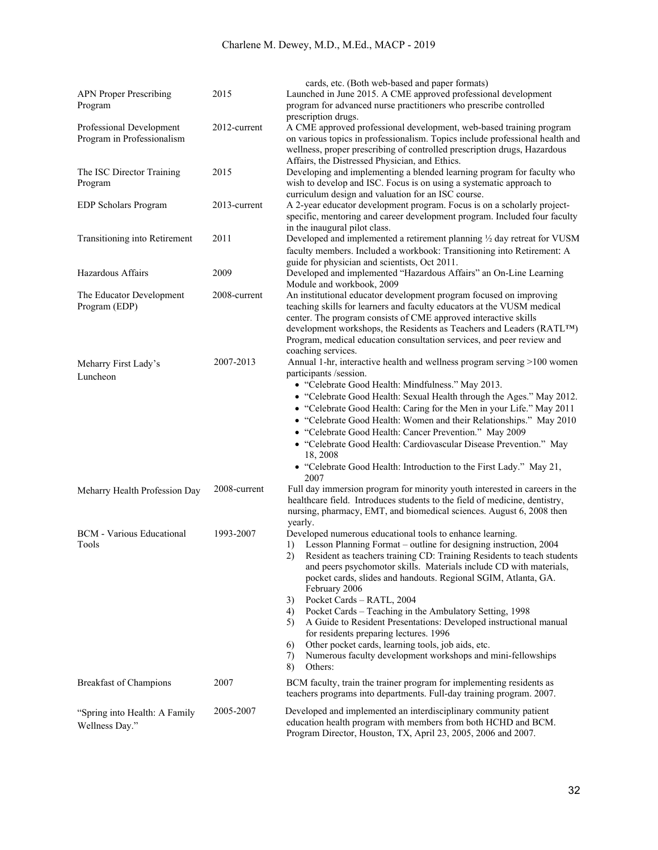|                                                        |              | cards, etc. (Both web-based and paper formats)                                                                                                                                                                                                                                                                                                                                                                                                                                                                                                                                                                                                                                                                                                          |
|--------------------------------------------------------|--------------|---------------------------------------------------------------------------------------------------------------------------------------------------------------------------------------------------------------------------------------------------------------------------------------------------------------------------------------------------------------------------------------------------------------------------------------------------------------------------------------------------------------------------------------------------------------------------------------------------------------------------------------------------------------------------------------------------------------------------------------------------------|
| <b>APN Proper Prescribing</b><br>Program               | 2015         | Launched in June 2015. A CME approved professional development<br>program for advanced nurse practitioners who prescribe controlled<br>prescription drugs.                                                                                                                                                                                                                                                                                                                                                                                                                                                                                                                                                                                              |
| Professional Development<br>Program in Professionalism | 2012-current | A CME approved professional development, web-based training program<br>on various topics in professionalism. Topics include professional health and<br>wellness, proper prescribing of controlled prescription drugs, Hazardous<br>Affairs, the Distressed Physician, and Ethics.                                                                                                                                                                                                                                                                                                                                                                                                                                                                       |
| The ISC Director Training<br>Program                   | 2015         | Developing and implementing a blended learning program for faculty who<br>wish to develop and ISC. Focus is on using a systematic approach to<br>curriculum design and valuation for an ISC course.                                                                                                                                                                                                                                                                                                                                                                                                                                                                                                                                                     |
| EDP Scholars Program                                   | 2013-current | A 2-year educator development program. Focus is on a scholarly project-<br>specific, mentoring and career development program. Included four faculty<br>in the inaugural pilot class.                                                                                                                                                                                                                                                                                                                                                                                                                                                                                                                                                                   |
| Transitioning into Retirement                          | 2011         | Developed and implemented a retirement planning 1/2 day retreat for VUSM<br>faculty members. Included a workbook: Transitioning into Retirement: A<br>guide for physician and scientists, Oct 2011.                                                                                                                                                                                                                                                                                                                                                                                                                                                                                                                                                     |
| Hazardous Affairs                                      | 2009         | Developed and implemented "Hazardous Affairs" an On-Line Learning<br>Module and workbook, 2009                                                                                                                                                                                                                                                                                                                                                                                                                                                                                                                                                                                                                                                          |
| The Educator Development<br>Program (EDP)              | 2008-current | An institutional educator development program focused on improving<br>teaching skills for learners and faculty educators at the VUSM medical<br>center. The program consists of CME approved interactive skills<br>development workshops, the Residents as Teachers and Leaders (RATLTM)<br>Program, medical education consultation services, and peer review and<br>coaching services.                                                                                                                                                                                                                                                                                                                                                                 |
| Meharry First Lady's<br>Luncheon                       | 2007-2013    | Annual 1-hr, interactive health and wellness program serving >100 women<br>participants /session.<br>• "Celebrate Good Health: Mindfulness." May 2013.<br>• "Celebrate Good Health: Sexual Health through the Ages." May 2012.<br>• "Celebrate Good Health: Caring for the Men in your Life." May 2011<br>• "Celebrate Good Health: Women and their Relationships." May 2010<br>• "Celebrate Good Health: Cancer Prevention." May 2009<br>• "Celebrate Good Health: Cardiovascular Disease Prevention." May<br>18, 2008<br>• "Celebrate Good Health: Introduction to the First Lady." May 21,<br>2007                                                                                                                                                   |
| Meharry Health Profession Day                          | 2008-current | Full day immersion program for minority youth interested in careers in the<br>healthcare field. Introduces students to the field of medicine, dentistry,<br>nursing, pharmacy, EMT, and biomedical sciences. August 6, 2008 then<br>yearly.                                                                                                                                                                                                                                                                                                                                                                                                                                                                                                             |
| <b>BCM</b> - Various Educational<br>Tools              | 1993-2007    | Developed numerous educational tools to enhance learning.<br>Lesson Planning Format – outline for designing instruction, 2004<br>1)<br>2)<br>Resident as teachers training CD: Training Residents to teach students<br>and peers psychomotor skills. Materials include CD with materials,<br>pocket cards, slides and handouts. Regional SGIM, Atlanta, GA.<br>February 2006<br>Pocket Cards - RATL, 2004<br>3)<br>Pocket Cards - Teaching in the Ambulatory Setting, 1998<br>4)<br>A Guide to Resident Presentations: Developed instructional manual<br>5)<br>for residents preparing lectures. 1996<br>Other pocket cards, learning tools, job aids, etc.<br>6)<br>Numerous faculty development workshops and mini-fellowships<br>7)<br>Others:<br>8) |
| <b>Breakfast of Champions</b>                          | 2007         | BCM faculty, train the trainer program for implementing residents as<br>teachers programs into departments. Full-day training program. 2007.                                                                                                                                                                                                                                                                                                                                                                                                                                                                                                                                                                                                            |
| "Spring into Health: A Family<br>Wellness Day."        | 2005-2007    | Developed and implemented an interdisciplinary community patient<br>education health program with members from both HCHD and BCM.<br>Program Director, Houston, TX, April 23, 2005, 2006 and 2007.                                                                                                                                                                                                                                                                                                                                                                                                                                                                                                                                                      |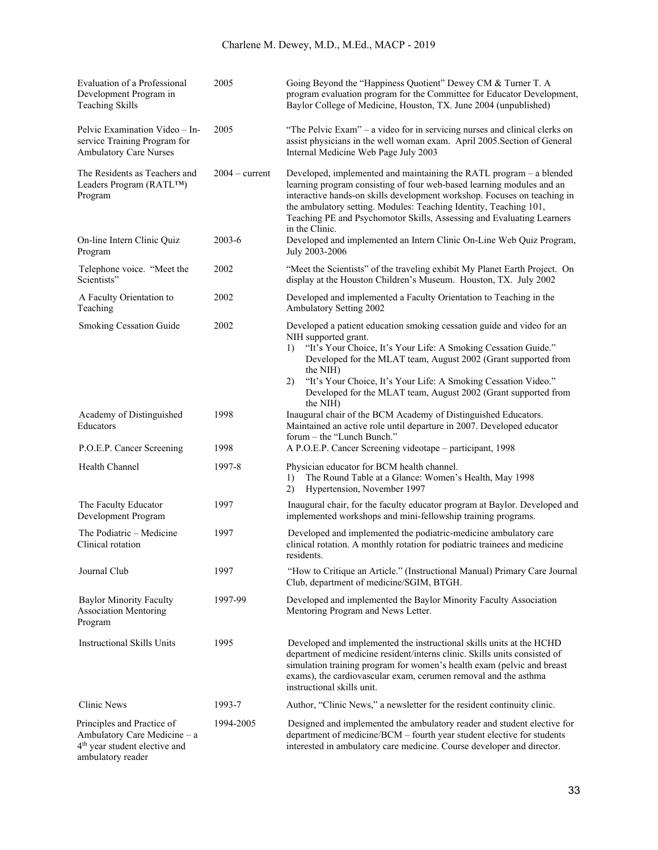| Evaluation of a Professional<br>Development Program in<br><b>Teaching Skills</b>                                             | 2005             | Going Beyond the "Happiness Quotient" Dewey CM & Turner T. A<br>program evaluation program for the Committee for Educator Development,<br>Baylor College of Medicine, Houston, TX. June 2004 (unpublished)                                                                                                                                                                                                 |
|------------------------------------------------------------------------------------------------------------------------------|------------------|------------------------------------------------------------------------------------------------------------------------------------------------------------------------------------------------------------------------------------------------------------------------------------------------------------------------------------------------------------------------------------------------------------|
| Pelvic Examination Video - In-<br>service Training Program for<br><b>Ambulatory Care Nurses</b>                              | 2005             | "The Pelvic Exam" – a video for in servicing nurses and clinical clerks on<br>assist physicians in the well woman exam. April 2005. Section of General<br>Internal Medicine Web Page July 2003                                                                                                                                                                                                             |
| The Residents as Teachers and<br>Leaders Program (RATLTM)<br>Program                                                         | $2004 - current$ | Developed, implemented and maintaining the RATL program - a blended<br>learning program consisting of four web-based learning modules and an<br>interactive hands-on skills development workshop. Focuses on teaching in<br>the ambulatory setting. Modules: Teaching Identity, Teaching 101,<br>Teaching PE and Psychomotor Skills, Assessing and Evaluating Learners<br>in the Clinic.                   |
| On-line Intern Clinic Quiz<br>Program                                                                                        | $2003 - 6$       | Developed and implemented an Intern Clinic On-Line Web Quiz Program,<br>July 2003-2006                                                                                                                                                                                                                                                                                                                     |
| Telephone voice. "Meet the<br>Scientists"                                                                                    | 2002             | "Meet the Scientists" of the traveling exhibit My Planet Earth Project. On<br>display at the Houston Children's Museum. Houston, TX. July 2002                                                                                                                                                                                                                                                             |
| A Faculty Orientation to<br>Teaching                                                                                         | 2002             | Developed and implemented a Faculty Orientation to Teaching in the<br>Ambulatory Setting 2002                                                                                                                                                                                                                                                                                                              |
| Smoking Cessation Guide                                                                                                      | 2002             | Developed a patient education smoking cessation guide and video for an<br>NIH supported grant.<br>"It's Your Choice, It's Your Life: A Smoking Cessation Guide."<br>1)<br>Developed for the MLAT team, August 2002 (Grant supported from<br>the NIH)<br>"It's Your Choice, It's Your Life: A Smoking Cessation Video."<br>2)<br>Developed for the MLAT team, August 2002 (Grant supported from<br>the NIH) |
| Academy of Distinguished<br>Educators                                                                                        | 1998             | Inaugural chair of the BCM Academy of Distinguished Educators.<br>Maintained an active role until departure in 2007. Developed educator<br>forum – the "Lunch Bunch."                                                                                                                                                                                                                                      |
| P.O.E.P. Cancer Screening                                                                                                    | 1998             | A P.O.E.P. Cancer Screening videotape - participant, 1998                                                                                                                                                                                                                                                                                                                                                  |
| Health Channel                                                                                                               | 1997-8           | Physician educator for BCM health channel.<br>The Round Table at a Glance: Women's Health, May 1998<br>1)<br>Hypertension, November 1997<br>2)                                                                                                                                                                                                                                                             |
| The Faculty Educator<br>Development Program                                                                                  | 1997             | Inaugural chair, for the faculty educator program at Baylor. Developed and<br>implemented workshops and mini-fellowship training programs.                                                                                                                                                                                                                                                                 |
| The Podiatric – Medicine<br>Clinical rotation                                                                                | 1997             | Developed and implemented the podiatric-medicine ambulatory care<br>clinical rotation. A monthly rotation for podiatric trainees and medicine<br>residents.                                                                                                                                                                                                                                                |
| Journal Club                                                                                                                 | 1997             | "How to Critique an Article." (Instructional Manual) Primary Care Journal<br>Club, department of medicine/SGIM, BTGH.                                                                                                                                                                                                                                                                                      |
| <b>Baylor Minority Faculty</b><br><b>Association Mentoring</b><br>Program                                                    | 1997-99          | Developed and implemented the Baylor Minority Faculty Association<br>Mentoring Program and News Letter.                                                                                                                                                                                                                                                                                                    |
| <b>Instructional Skills Units</b>                                                                                            | 1995             | Developed and implemented the instructional skills units at the HCHD<br>department of medicine resident/interns clinic. Skills units consisted of<br>simulation training program for women's health exam (pelvic and breast<br>exams), the cardiovascular exam, cerumen removal and the asthma<br>instructional skills unit.                                                                               |
| Clinic News                                                                                                                  | 1993-7           | Author, "Clinic News," a newsletter for the resident continuity clinic.                                                                                                                                                                                                                                                                                                                                    |
| Principles and Practice of<br>Ambulatory Care Medicine - a<br>4 <sup>th</sup> year student elective and<br>ambulatory reader | 1994-2005        | Designed and implemented the ambulatory reader and student elective for<br>department of medicine/BCM - fourth year student elective for students<br>interested in ambulatory care medicine. Course developer and director.                                                                                                                                                                                |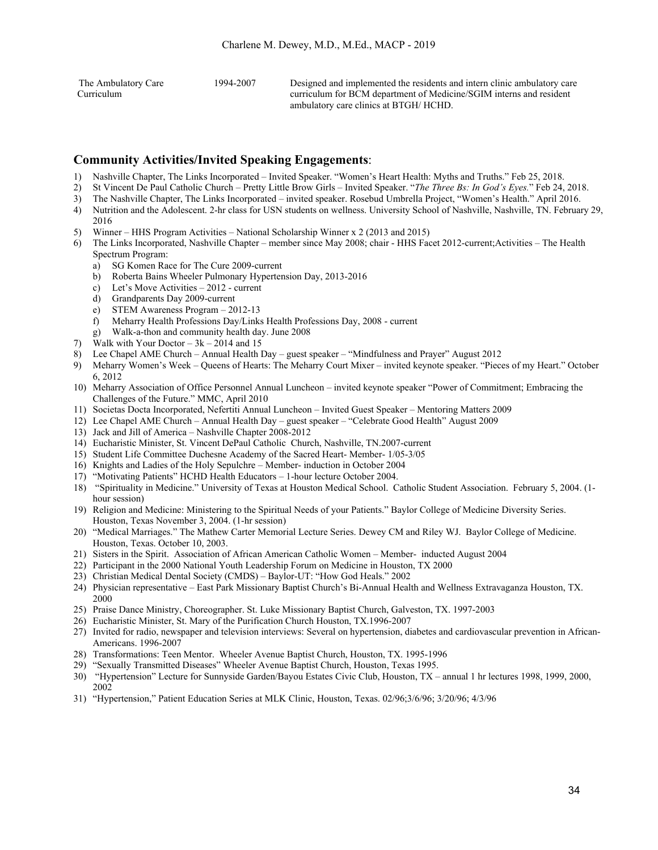| The Ambulatory Care | 1994-2007 | Designed and implemented the residents and intern clinic ambulatory care |
|---------------------|-----------|--------------------------------------------------------------------------|
| Curriculum          |           | curriculum for BCM department of Medicine/SGIM interns and resident      |
|                     |           | ambulatory care clinics at BTGH/HCHD.                                    |

### **Community Activities/Invited Speaking Engagements**:

- 1) Nashville Chapter, The Links Incorporated Invited Speaker. "Women's Heart Health: Myths and Truths." Feb 25, 2018.
- 2) St Vincent De Paul Catholic Church Pretty Little Brow Girls Invited Speaker. "*The Three Bs: In God's Eyes.*" Feb 24, 2018.
- 3) The Nashville Chapter, The Links Incorporated invited speaker. Rosebud Umbrella Project, "Women's Health." April 2016.
- 4) Nutrition and the Adolescent. 2-hr class for USN students on wellness. University School of Nashville, Nashville, TN. February 29, 2016
- 5) Winner HHS Program Activities National Scholarship Winner x 2 (2013 and 2015)
- 6) The Links Incorporated, Nashville Chapter member since May 2008; chair HHS Facet 2012-current;Activities The Health Spectrum Program:
	- a) SG Komen Race for The Cure 2009-current
	- b) Roberta Bains Wheeler Pulmonary Hypertension Day, 2013-2016
	- c) Let's Move Activities 2012 current
	- d) Grandparents Day 2009-current
	- e) STEM Awareness Program 2012-13
	- f) Meharry Health Professions Day/Links Health Professions Day, 2008 current
	- g) Walk-a-thon and community health day. June 2008
- 7) Walk with Your Doctor  $3k 2014$  and 15
- 8) Lee Chapel AME Church Annual Health Day guest speaker "Mindfulness and Prayer" August 2012
- 9) Meharry Women's Week Queens of Hearts: The Meharry Court Mixer invited keynote speaker. "Pieces of my Heart." October 6, 2012
- 10) Meharry Association of Office Personnel Annual Luncheon invited keynote speaker "Power of Commitment; Embracing the Challenges of the Future." MMC, April 2010
- 11) Societas Docta Incorporated, Nefertiti Annual Luncheon Invited Guest Speaker Mentoring Matters 2009
- 12) Lee Chapel AME Church Annual Health Day guest speaker "Celebrate Good Health" August 2009
- 13) Jack and Jill of America Nashville Chapter 2008-2012
- 14) Eucharistic Minister, St. Vincent DePaul Catholic Church, Nashville, TN.2007-current
- 15) Student Life Committee Duchesne Academy of the Sacred Heart- Member- 1/05-3/05
- 16) Knights and Ladies of the Holy Sepulchre Member- induction in October 2004
- 17) "Motivating Patients" HCHD Health Educators 1-hour lecture October 2004.
- 18) "Spirituality in Medicine." University of Texas at Houston Medical School. Catholic Student Association. February 5, 2004. (1 hour session)
- 19) Religion and Medicine: Ministering to the Spiritual Needs of your Patients." Baylor College of Medicine Diversity Series. Houston, Texas November 3, 2004. (1-hr session)
- 20) "Medical Marriages." The Mathew Carter Memorial Lecture Series. Dewey CM and Riley WJ. Baylor College of Medicine. Houston, Texas. October 10, 2003.
- 21) Sisters in the Spirit. Association of African American Catholic Women Member- inducted August 2004
- 22) Participant in the 2000 National Youth Leadership Forum on Medicine in Houston, TX 2000
- 23) Christian Medical Dental Society (CMDS) Baylor-UT: "How God Heals." 2002
- 24) Physician representative East Park Missionary Baptist Church's Bi-Annual Health and Wellness Extravaganza Houston, TX. 2000
- 25) Praise Dance Ministry, Choreographer. St. Luke Missionary Baptist Church, Galveston, TX. 1997-2003
- 26) Eucharistic Minister, St. Mary of the Purification Church Houston, TX.1996-2007
- 27) Invited for radio, newspaper and television interviews: Several on hypertension, diabetes and cardiovascular prevention in African-Americans. 1996-2007
- 28) Transformations: Teen Mentor. Wheeler Avenue Baptist Church, Houston, TX. 1995-1996
- 29) "Sexually Transmitted Diseases" Wheeler Avenue Baptist Church, Houston, Texas 1995.
- 30) "Hypertension" Lecture for Sunnyside Garden/Bayou Estates Civic Club, Houston, TX annual 1 hr lectures 1998, 1999, 2000, 2002
- 31) "Hypertension," Patient Education Series at MLK Clinic, Houston, Texas. 02/96;3/6/96; 3/20/96; 4/3/96